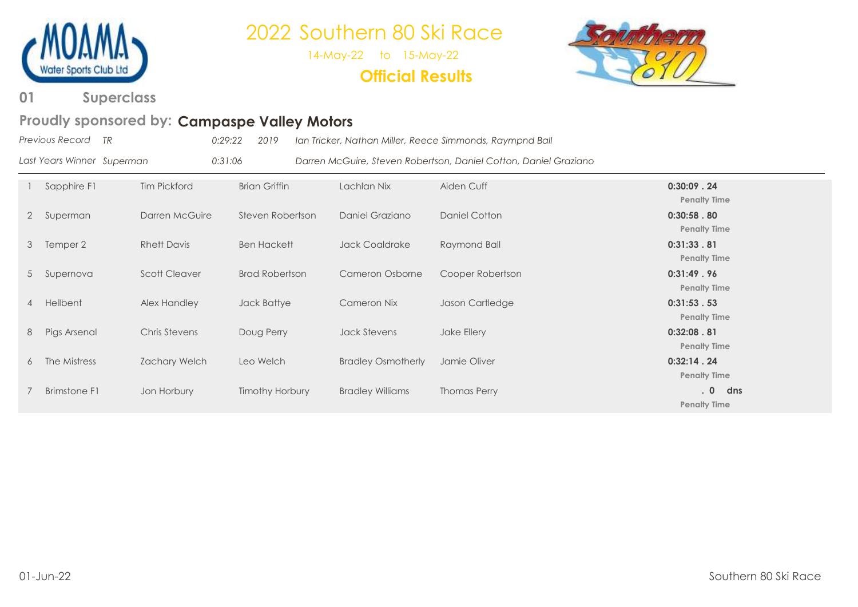

14-May-22 to 15-May-22

**Official Results**



**Superclass 01**

### Proudly sponsored by: Campaspe Valley Motors

| Previous Record TR         |              | 0:29:22<br>2019 |             | Ian Tricker, Nathan Miller, Reece Simmonds, Raympnd Ball         |                                     |
|----------------------------|--------------|-----------------|-------------|------------------------------------------------------------------|-------------------------------------|
| Last Years Winner Superman |              | 0:31:06         |             | Darren McGuire, Steven Robertson, Daniel Cotton, Daniel Graziano |                                     |
| Sapphire F1                | Tim Pickford | Brian Griffin   | Lachlan Nix | Aiden Cuff                                                       | $0:30:09$ . 24<br><b>Penalty Ti</b> |

**Penalty Time** 2 Superman Darren McGuire Steven Robertson Daniel Graziano Daniel Cotton **0:30:58 . 80 Penalty Time** 3 Temper 2 Rhett Davis Ben Hackett Jack Coaldrake Raymond Ball **0:31:33 . 81 Penalty Time** 5 Supernova Scott Cleaver Brad Robertson Cameron Osborne Cooper Robertson **0:31:49 . 96 Penalty Time** 4 Hellbent Alex Handley Jack Battye Cameron Nix Jason Cartledge **0:31:53 . 53 Penalty Time** 8 Pigs Arsenal Chris Stevens Doug Perry Jack Stevens Jake Ellery **0:32:08 . 81 Penalty Time** 6 The Mistress Zachary Welch Leo Welch Bradley Osmotherly Jamie Oliver **0:32:14 . 24 Penalty Time** 7 Brimstone F1 Jon Horbury Timothy Horbury Bradley Williams Thomas Perry **. 0 dns Penalty Time**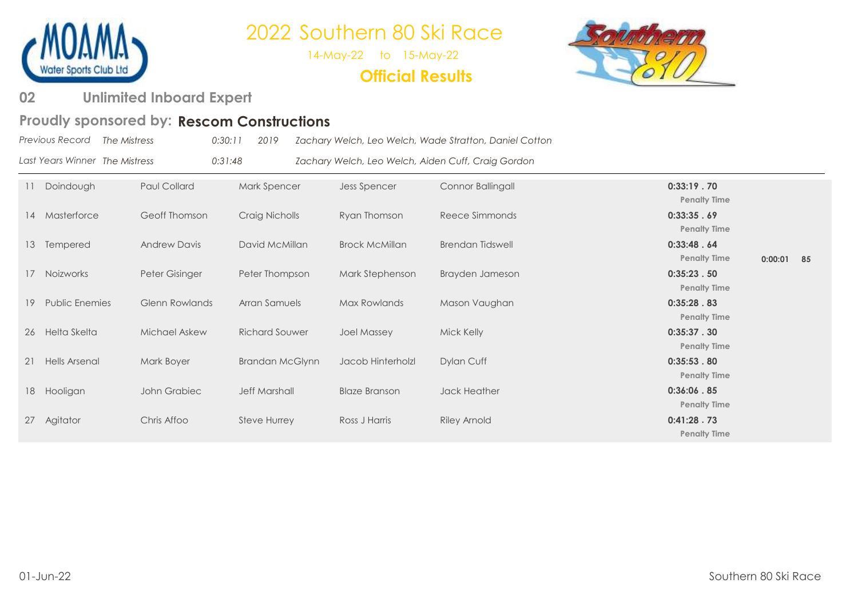

14-May-22 to 15-May-22

### **Official Results**



#### **Unlimited Inboard Expert 02**

#### Proudly sponsored by: Rescom Constructions

|    | $\cdots$ . The component of $\mathcal{L}_i$ is the second constructed by |                       |                        |                       |                                                        |                                   |         |
|----|--------------------------------------------------------------------------|-----------------------|------------------------|-----------------------|--------------------------------------------------------|-----------------------------------|---------|
|    | Previous Record<br>The Mistress                                          |                       | 2019<br>0:30:11        |                       | Zachary Welch, Leo Welch, Wade Stratton, Daniel Cotton |                                   |         |
|    | Last Years Winner The Mistress                                           |                       | 0:31:48                |                       | Zachary Welch, Leo Welch, Aiden Cuff, Craig Gordon     |                                   |         |
|    | Doindough                                                                | Paul Collard          | Mark Spencer           | Jess Spencer          | Connor Ballingall                                      | 0:33:19.70<br><b>Penalty Time</b> |         |
| 14 | Masterforce                                                              | Geoff Thomson         | Craig Nicholls         | Ryan Thomson          | Reece Simmonds                                         | 0:33:35.69<br><b>Penalty Time</b> |         |
| 13 | Tempered                                                                 | <b>Andrew Davis</b>   | David McMillan         | <b>Brock McMillan</b> | <b>Brendan Tidswell</b>                                | 0:33:48.64<br><b>Penalty Time</b> | 0:00:01 |
| 17 | Noizworks                                                                | Peter Gisinger        | Peter Thompson         | Mark Stephenson       | Brayden Jameson                                        | 0:35:23.50<br><b>Penalty Time</b> |         |
| 19 | <b>Public Enemies</b>                                                    | <b>Glenn Rowlands</b> | Arran Samuels          | Max Rowlands          | Mason Vaughan                                          | 0:35:28.83<br><b>Penalty Time</b> |         |
| 26 | Helta Skelta                                                             | <b>Michael Askew</b>  | <b>Richard Souwer</b>  | <b>Joel Massey</b>    | Mick Kelly                                             | 0:35:37.30<br><b>Penalty Time</b> |         |
| 21 | <b>Hells Arsenal</b>                                                     | Mark Boyer            | <b>Brandan McGlynn</b> | Jacob Hinterholzl     | Dylan Cuff                                             | 0:35:53.80<br><b>Penalty Time</b> |         |
| 18 | Hooligan                                                                 | John Grabiec          | <b>Jeff Marshall</b>   | <b>Blaze Branson</b>  | Jack Heather                                           | 0:36:06.85<br><b>Penalty Time</b> |         |
| 27 | Agitator                                                                 | Chris Affoo           | <b>Steve Hurrey</b>    | Ross J Harris         | <b>Riley Arnold</b>                                    | 0:41:28.73<br><b>Penalty Time</b> |         |
|    |                                                                          |                       |                        |                       |                                                        |                                   |         |

**0:00:01 85**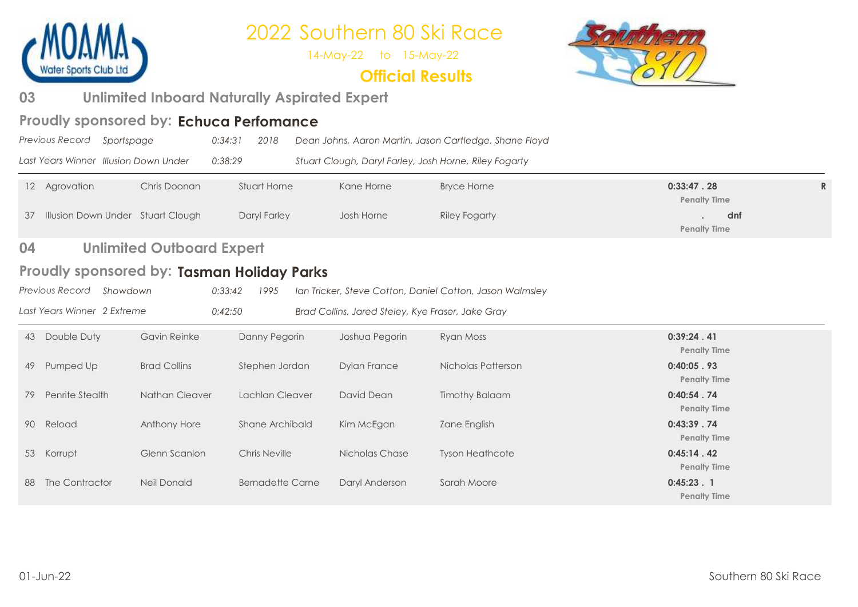

14-May-22 to 15-May-22

### **Official Results**



#### **Unlimited Inboard Naturally Aspirated Expert 03**

### Proudly sponsored by: Echuca Perfomance

| Previous Record Sportspage |                                       | 0:34:31 | 2018 | Dean Johns, Aaron Martin, Jason Cartledge, Shane Floyd |
|----------------------------|---------------------------------------|---------|------|--------------------------------------------------------|
|                            | Last Years Winner Illusion Down Under | 0:38:29 |      | Stuart Clough, Daryl Farley, Josh Horne, Riley Fogarty |

| 12 Agrovation                        | Chris Doonan | Stuart Horne | Kane Horne | <b>Bryce Horne</b> | 0:33:47.28          |  |
|--------------------------------------|--------------|--------------|------------|--------------------|---------------------|--|
|                                      |              |              |            |                    | <b>Penalty Time</b> |  |
| 37 Illusion Down Under Stuart Clough |              | Daryl Farley | Josh Horne | Riley Fogarty      | dnf                 |  |
|                                      |              |              |            |                    | <b>Penalty Time</b> |  |

#### **Unlimited Outboard Expert 04**

### Proudly sponsored by: Tasman Holiday Parks

| Previous Record Showdown |  |  | 0:33:42 1995 Ian Tricker, Steve Cotton, Daniel Cotton, Jason Walmsley |
|--------------------------|--|--|-----------------------------------------------------------------------|
|--------------------------|--|--|-----------------------------------------------------------------------|

*Last Years Winner 2 Extreme 0:42:50 Brad Collins, Jared Steley, Kye Fraser, Jake Gray*

| Double Duty<br>Gavin Reinke<br>Danny Pegorin<br>0:39:24.41<br>Joshua Pegorin<br>Ryan Moss<br>43<br><b>Penalty Time</b><br><b>Brad Collins</b><br>0:40:05.93<br>Nicholas Patterson<br>Stephen Jordan<br>Dylan France<br>Pumped Up<br>49<br><b>Penalty Time</b><br><b>Timothy Balaam</b><br>Penrite Stealth<br>Nathan Cleaver<br>Lachlan Cleaver<br>David Dean<br>0:40:54.74<br>79<br><b>Penalty Time</b> |  |
|---------------------------------------------------------------------------------------------------------------------------------------------------------------------------------------------------------------------------------------------------------------------------------------------------------------------------------------------------------------------------------------------------------|--|
|                                                                                                                                                                                                                                                                                                                                                                                                         |  |
|                                                                                                                                                                                                                                                                                                                                                                                                         |  |
|                                                                                                                                                                                                                                                                                                                                                                                                         |  |
| 0:43:39.74<br>Kim McEgan<br>Reload<br>Anthony Hore<br>Shane Archibald<br>Zane English<br>90<br><b>Penalty Time</b>                                                                                                                                                                                                                                                                                      |  |
| 0:45:14.42<br>Chris Neville<br>Glenn Scanlon<br>Nicholas Chase<br><b>Tyson Heathcote</b><br>53 Korrupt<br><b>Penalty Time</b>                                                                                                                                                                                                                                                                           |  |
| The Contractor<br>Neil Donald<br>Daryl Anderson<br>$0:45:23$ . 1<br><b>Bernadette Carne</b><br>Sarah Moore<br>88<br><b>Penalty Time</b>                                                                                                                                                                                                                                                                 |  |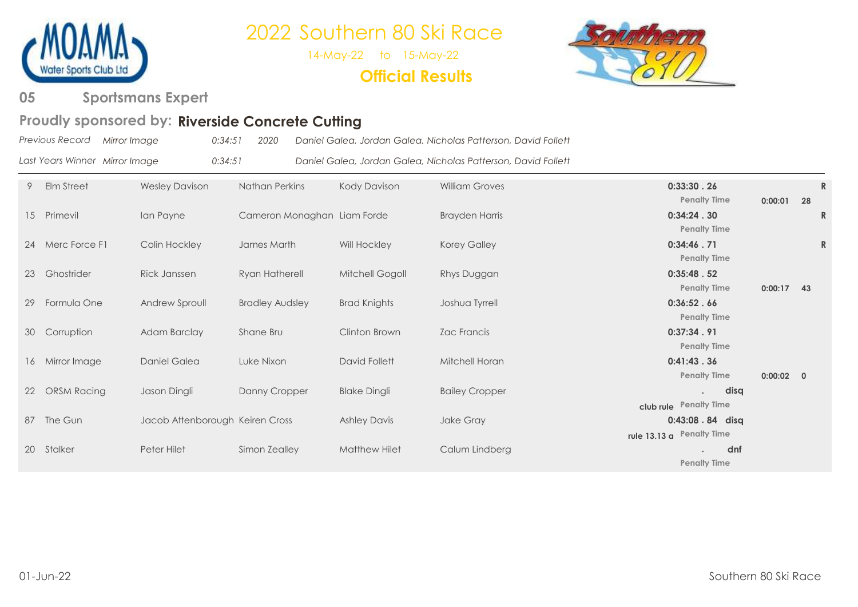

14-May-22 to 15-May-22

### **Official Results**



#### **Sportsmans Expert 05**

### Proudly sponsored by: Riverside Concrete Cutting

| Previous Record Mirror Image |  |  |  | 0:34:51 2020 Daniel Galea, Jordan Galea, Nicholas Patterson, David Follett |
|------------------------------|--|--|--|----------------------------------------------------------------------------|
|------------------------------|--|--|--|----------------------------------------------------------------------------|

|  | Last Years Winner Mirror Image | 0:34:51 | Daniel Galea, Jordan Galea, Nicholas Patterson, David Follett |
|--|--------------------------------|---------|---------------------------------------------------------------|
|--|--------------------------------|---------|---------------------------------------------------------------|

| 9  | Elm Street         | <b>Wesley Davison</b>           | <b>Nathan Perkins</b>       | Kody Davison        | <b>William Groves</b> | 0:33:30.26<br><b>Penalty Time</b>                      | 0:00:01      | 28 | $\mathbb{R}$ |
|----|--------------------|---------------------------------|-----------------------------|---------------------|-----------------------|--------------------------------------------------------|--------------|----|--------------|
|    | 15 Primevil        | Ian Payne                       | Cameron Monaghan Liam Forde |                     | <b>Brayden Harris</b> | 0:34:24.30<br><b>Penalty Time</b>                      |              |    | R            |
| 24 | Merc Force F1      | Colin Hockley                   | James Marth                 | Will Hockley        | <b>Korey Galley</b>   | 0:34:46.71<br><b>Penalty Time</b>                      |              |    | $\mathsf{R}$ |
| 23 | Ghostrider         | Rick Janssen                    | Ryan Hatherell              | Mitchell Gogoll     | Rhys Duggan           | 0:35:48.52<br><b>Penalty Time</b>                      | $0:00:17$ 43 |    |              |
| 29 | Formula One        | Andrew Sproull                  | <b>Bradley Audsley</b>      | <b>Brad Knights</b> | Joshua Tyrrell        | 0:36:52.66<br><b>Penalty Time</b>                      |              |    |              |
| 30 | Corruption         | Adam Barclay                    | Shane Bru                   | Clinton Brown       | Zac Francis           | 0:37:34.91<br><b>Penalty Time</b>                      |              |    |              |
|    | 16 Mirror Image    | Daniel Galea                    | Luke Nixon                  | David Follett       | Mitchell Horan        | 0:41:43.36<br><b>Penalty Time</b>                      | $0:00:02$ 0  |    |              |
| 22 | <b>ORSM Racing</b> | Jason Dingli                    | Danny Cropper               | <b>Blake Dingli</b> | <b>Bailey Cropper</b> | disq<br>$\ddot{\phantom{a}}$<br>club rule Penalty Time |              |    |              |
|    | 87 The Gun         | Jacob Attenborough Keiren Cross |                             | <b>Ashley Davis</b> | Jake Gray             | 0:43:08.84 disq<br>rule 13.13 a Penalty Time           |              |    |              |
|    | 20 Stalker         | Peter Hilet                     | Simon Zealley               | Matthew Hilet       | Calum Lindberg        | dnf<br><b>Penalty Time</b>                             |              |    |              |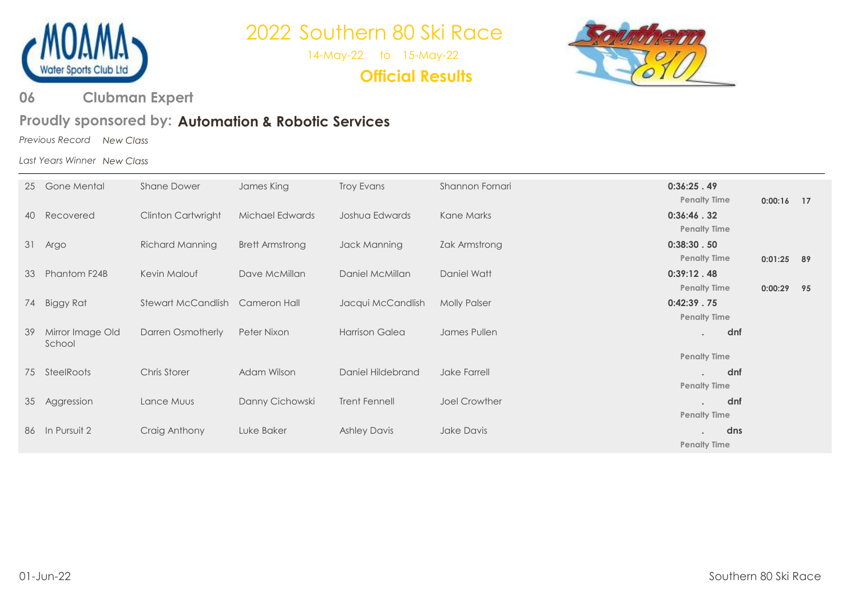

14-May-22 to 15-May-22

**Official Results**



**Clubman Expert 06** 

### Proudly sponsored by: Automation & Robotic Services

*Previous Record New Class*

*Last Years Winner New Class*

| 25 | Gone Mental                | <b>Shane Dower</b>        | James King             | Troy Evans           | Shannon Fornari      | 0:36:25.49                                               |              |    |
|----|----------------------------|---------------------------|------------------------|----------------------|----------------------|----------------------------------------------------------|--------------|----|
| 40 | Recovered                  | <b>Clinton Cartwright</b> | Michael Edwards        | Joshua Edwards       | Kane Marks           | <b>Penalty Time</b><br>0:36:46.32<br><b>Penalty Time</b> | $0:00:16$ 17 |    |
| 31 | Argo                       | <b>Richard Manning</b>    | <b>Brett Armstrong</b> | Jack Manning         | Zak Armstrong        | 0:38:30.50<br><b>Penalty Time</b>                        | $0:01:25$ 89 |    |
| 33 | Phantom F24B               | Kevin Malouf              | Dave McMillan          | Daniel McMillan      | Daniel Watt          | 0:39:12.48                                               |              |    |
| 74 | Biggy Rat                  | Stewart McCandlish        | Cameron Hall           | Jacqui McCandlish    | <b>Molly Palser</b>  | <b>Penalty Time</b><br>0:42:39.75                        | 0:00:29      | 95 |
| 39 | Mirror Image Old<br>School | Darren Osmotherly         | Peter Nixon            | Harrison Galea       | James Pullen         | <b>Penalty Time</b><br>dnf<br>$\bullet$                  |              |    |
|    |                            |                           |                        |                      |                      | <b>Penalty Time</b>                                      |              |    |
| 75 | SteelRoots                 | Chris Storer              | Adam Wilson            | Daniel Hildebrand    | Jake Farrell         | dnf<br><b>Penalty Time</b>                               |              |    |
| 35 | Aggression                 | Lance Muus                | Danny Cichowski        | <b>Trent Fennell</b> | <b>Joel Crowther</b> | dnf<br><b>Penalty Time</b>                               |              |    |
|    | 86 In Pursuit 2            | Craig Anthony             | Luke Baker             | <b>Ashley Davis</b>  | Jake Davis           | dns                                                      |              |    |
|    |                            |                           |                        |                      |                      | <b>Penalty Time</b>                                      |              |    |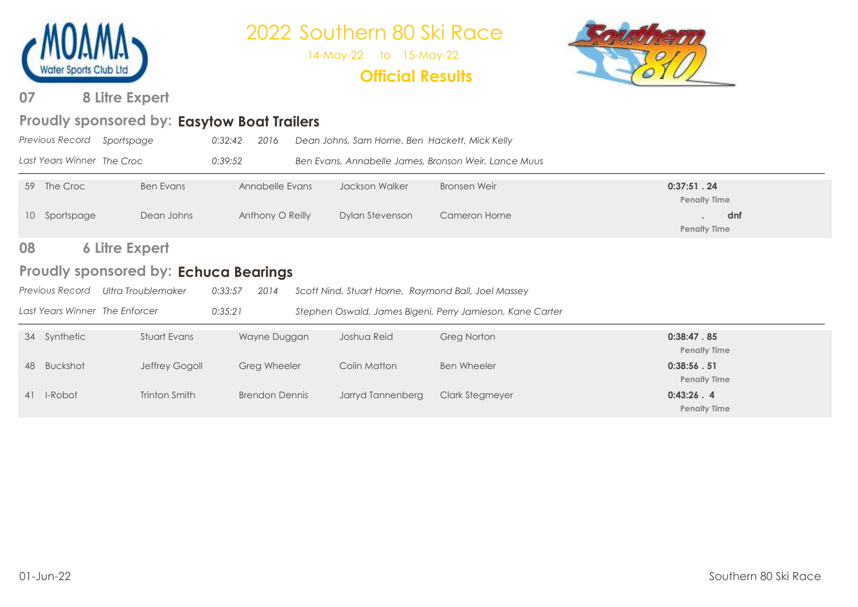

14-May-22 to 15-May-22

### **Official Results**



**8 Litre Expert 07**

### Proudly sponsored by: Easytow Boat Trailers

|    | <b>Previous Record</b>                | Sportspage                     | 0:32:42<br>2016       |  | Dean Johns, Sam Horne, Ben Hackett, Mick Kelly      |                                                           |                                   |
|----|---------------------------------------|--------------------------------|-----------------------|--|-----------------------------------------------------|-----------------------------------------------------------|-----------------------------------|
|    | Last Years Winner The Croc            |                                | 0:39:52               |  |                                                     | Ben Evans, Annabelle James, Bronson Weir, Lance Muus      |                                   |
|    | 59 The Croc                           | <b>Ben Evans</b>               | Annabelle Evans       |  | Jackson Walker                                      | Bronsen Weir                                              | 0:37:51.24<br><b>Penalty Time</b> |
| 10 | Sportspage                            | Dean Johns                     | Anthony O Reilly      |  | Dylan Stevenson                                     | Cameron Horne                                             | dnf<br><b>Penalty Time</b>        |
| 08 |                                       | <b>6 Litre Expert</b>          |                       |  |                                                     |                                                           |                                   |
|    | Proudly sponsored by: Echuca Bearings |                                |                       |  |                                                     |                                                           |                                   |
|    | Previous Record                       | Ultra Troublemaker             | 0:33:57<br>2014       |  | Scott Nind, Stuart Horne, Raymond Ball, Joel Massey |                                                           |                                   |
|    |                                       | Last Years Winner The Enforcer | 0:35:21               |  |                                                     | Stephen Oswald, James Bigeni, Perry Jamieson, Kane Carter |                                   |
|    | 34 Synthetic                          | Stuart Evans                   | Wayne Duggan          |  | Joshua Reid                                         | <b>Greg Norton</b>                                        | 0:38:47.85<br><b>Penalty Time</b> |
| 48 | Buckshot                              | Jeffrey Gogoll                 | Greg Wheeler          |  | Colin Matton                                        | <b>Ben Wheeler</b>                                        | 0:38:56.51<br><b>Penalty Time</b> |
|    | 41 I-Robot                            | Trinton Smith                  | <b>Brendon Dennis</b> |  | Jarryd Tannenberg                                   | Clark Stegmeyer                                           | 0:43:26.4<br><b>Penalty Time</b>  |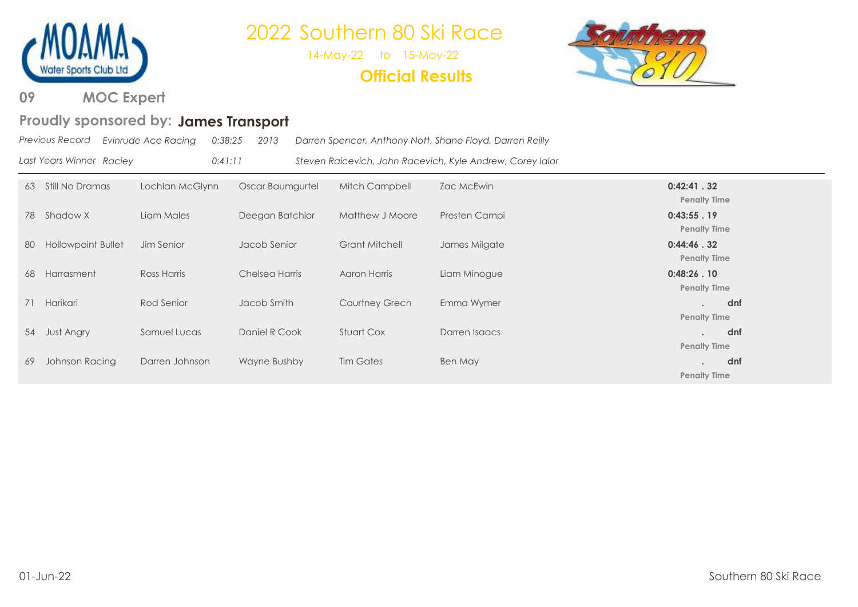

14-May-22 to 15-May-22

### **Official Results**



**MOC Expert 09** 

#### Proudly sponsored by: James Transport

|                          | Previous Record Evinrude Ace Racing | 0:38:25 | 2013 | Darren Spencer, Anthony Nott, Shane Floyd, Darren Reilly  |
|--------------------------|-------------------------------------|---------|------|-----------------------------------------------------------|
| Last Years Winner Raciey |                                     | 0:41:11 |      | Steven Raicevich, John Racevich, Kyle Andrew, Corey lalor |

| 63 | Still No Dramas           | Lochlan McGlynn | Oscar Baumgurtel | Mitch Campbell        | Zac McEwin    | 0:42:41.32                              |
|----|---------------------------|-----------------|------------------|-----------------------|---------------|-----------------------------------------|
|    |                           |                 |                  |                       |               | <b>Penalty Time</b>                     |
|    | 78 Shadow X               | Liam Males      | Deegan Batchlor  | Matthew J Moore       | Presten Campi | 0:43:55.19                              |
|    |                           |                 |                  |                       |               | <b>Penalty Time</b>                     |
| 80 | <b>Hollowpoint Bullet</b> | Jim Senior      | Jacob Senior     | <b>Grant Mitchell</b> | James Milgate | 0:44:46.32                              |
|    |                           |                 |                  |                       |               | <b>Penalty Time</b>                     |
| 68 | Harrasment                | Ross Harris     | Chelsea Harris   | Aaron Harris          | Liam Minogue  | 0:48:26.10                              |
|    |                           |                 |                  |                       |               | <b>Penalty Time</b>                     |
| 71 | Harikari                  | Rod Senior      | Jacob Smith      | <b>Courtney Grech</b> | Emma Wymer    | dnf<br>$\bullet$<br><b>Penalty Time</b> |
|    |                           |                 |                  |                       |               |                                         |
|    | 54 Just Angry             | Samuel Lucas    | Daniel R Cook    | <b>Stuart Cox</b>     | Darren Isaacs | dnf<br>$\sim$<br><b>Penalty Time</b>    |
| 69 | Johnson Racing            | Darren Johnson  | Wayne Bushby     | <b>Tim Gates</b>      | Ben May       | dnf                                     |
|    |                           |                 |                  |                       |               | <b>Penalty Time</b>                     |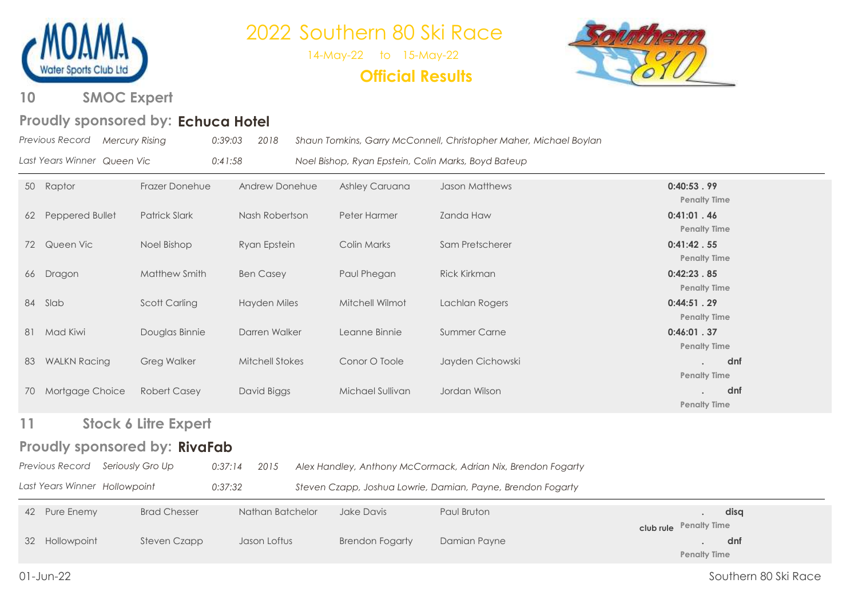

14-May-22 to 15-May-22





**SMOC Expert 10**

### Proudly sponsored by: Echuca Hotel

|    | Previous Record Mercury Rising   | 0:39:03                       | 2018                   |                                                     | Shaun Tomkins, Garry McConnell, Christopher Maher, Michael Boylan |                                   |  |
|----|----------------------------------|-------------------------------|------------------------|-----------------------------------------------------|-------------------------------------------------------------------|-----------------------------------|--|
|    | Last Years Winner Queen Vic      | 0:41:58                       |                        | Noel Bishop, Ryan Epstein, Colin Marks, Boyd Bateup |                                                                   |                                   |  |
|    | 50 Raptor                        | Frazer Donehue                | Andrew Donehue         | Ashley Caruana                                      | Jason Matthews                                                    | 0:40:53.99<br><b>Penalty Time</b> |  |
| 62 | Peppered Bullet                  | <b>Patrick Slark</b>          | Nash Robertson         | Peter Harmer                                        | <b>Zanda Haw</b>                                                  | 0:41:01.46<br><b>Penalty Time</b> |  |
|    | 72 Queen Vic                     | Noel Bishop                   | Ryan Epstein           | Colin Marks                                         | Sam Pretscherer                                                   | 0:41:42.55<br><b>Penalty Time</b> |  |
|    | 66 Dragon                        | Matthew Smith                 | <b>Ben Casey</b>       | Paul Phegan                                         | <b>Rick Kirkman</b>                                               | 0:42:23.85<br><b>Penalty Time</b> |  |
|    | 84 Slab                          | <b>Scott Carling</b>          | Hayden Miles           | Mitchell Wilmot                                     | Lachlan Rogers                                                    | 0:44:51.29<br><b>Penalty Time</b> |  |
|    | 81 Mad Kiwi                      | Douglas Binnie                | Darren Walker          | Leanne Binnie                                       | <b>Summer Carne</b>                                               | 0:46:01.37<br><b>Penalty Time</b> |  |
| 83 | <b>WALKN Racing</b>              | <b>Greg Walker</b>            | <b>Mitchell Stokes</b> | Conor O Toole                                       | Jayden Cichowski                                                  | dnf<br><b>Penalty Time</b>        |  |
| 70 | Mortgage Choice                  | <b>Robert Casey</b>           | David Biggs            | Michael Sullivan                                    | Jordan Wilson                                                     | dnf<br><b>Penalty Time</b>        |  |
| 11 |                                  | <b>Stock 6 Litre Expert</b>   |                        |                                                     |                                                                   |                                   |  |
|    |                                  | Proudly sponsored by: RivaFab |                        |                                                     |                                                                   |                                   |  |
|    | Previous Record Seriously Gro Up | 0:37:14                       | 2015                   |                                                     | Alex Handley, Anthony McCormack, Adrian Nix, Brendon Fogarty      |                                   |  |
|    | Last Years Winner Hollowpoint    | 0:37:32                       |                        |                                                     | Steven Czapp, Joshua Lowrie, Damian, Payne, Brendon Fogarty       |                                   |  |
|    | 42 Pure Enemy                    | <b>Brad Chesser</b>           | Nathan Batchelor       | Jake Davis                                          | Paul Bruton                                                       | disq<br>club rule Penalty Time    |  |
| 32 | Hollowpoint                      | <b>Steven Czapp</b>           | Jason Loftus           | <b>Brendon Fogarty</b>                              | Damian Payne                                                      | dnf<br><b>Penalty Time</b>        |  |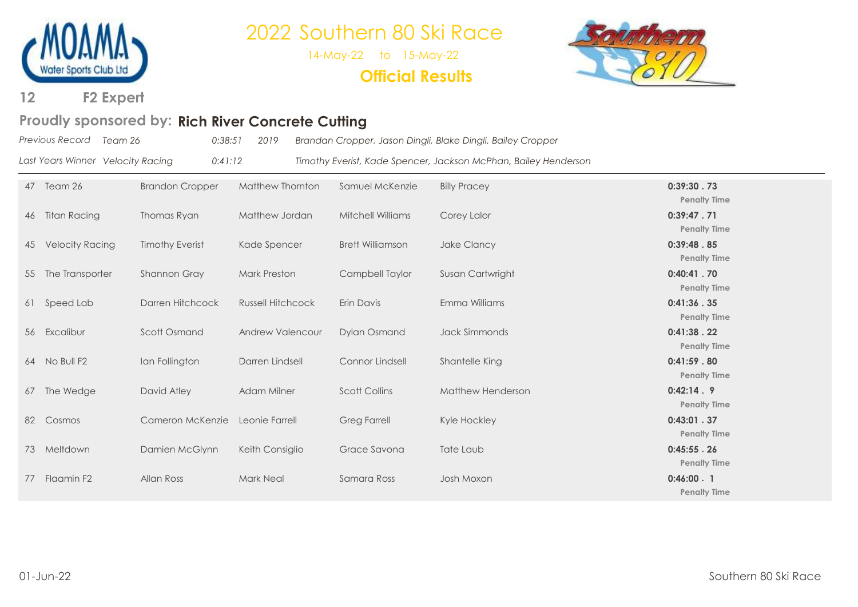

14-May-22 to 15-May-22

**Official Results**



**F2 Expert 12**

### Proudly sponsored by: Rich River Concrete Cutting

| Previous Record Team 26           | 0:38:51 | 2019 | Brandan Cropper, Jason Dingli, Blake Dingli, Bailey Cropper     |
|-----------------------------------|---------|------|-----------------------------------------------------------------|
| Last Years Winner Velocity Racing | 0:41:12 |      | Timothy Everist, Kade Spencer, Jackson McPhan, Bailey Henderson |

| 47 | Team 26                | <b>Brandon Cropper</b> | Matthew Thornton         | Samuel McKenzie          | <b>Billy Pracey</b> | 0:39:30.73<br><b>Penalty Time</b> |
|----|------------------------|------------------------|--------------------------|--------------------------|---------------------|-----------------------------------|
| 46 | Titan Racing           | Thomas Ryan            | Matthew Jordan           | <b>Mitchell Williams</b> | Corey Lalor         | 0:39:47.71<br><b>Penalty Time</b> |
| 45 | <b>Velocity Racing</b> | <b>Timothy Everist</b> | Kade Spencer             | <b>Brett Williamson</b>  | Jake Clancy         | 0:39:48.85<br><b>Penalty Time</b> |
| 55 | The Transporter        | Shannon Gray           | <b>Mark Preston</b>      | Campbell Taylor          | Susan Cartwright    | 0:40:41.70<br><b>Penalty Time</b> |
| 61 | Speed Lab              | Darren Hitchcock       | <b>Russell Hitchcock</b> | Erin Davis               | Emma Williams       | 0:41:36.35<br><b>Penalty Time</b> |
| 56 | Excalibur              | Scott Osmand           | <b>Andrew Valencour</b>  | <b>Dylan Osmand</b>      | Jack Simmonds       | 0:41:38.22<br><b>Penalty Time</b> |
|    | 64 No Bull F2          | Ian Follington         | Darren Lindsell          | Connor Lindsell          | Shantelle King      | 0:41:59.80<br><b>Penalty Time</b> |
| 67 | The Wedge              | David Atley            | Adam Milner              | <b>Scott Collins</b>     | Matthew Henderson   | 0:42:14.9<br><b>Penalty Time</b>  |
| 82 | Cosmos                 | Cameron McKenzie       | Leonie Farrell           | <b>Greg Farrell</b>      | Kyle Hockley        | 0:43:01.37<br><b>Penalty Time</b> |
| 73 | Meltdown               | Damien McGlynn         | Keith Consiglio          | Grace Savona             | Tate Laub           | 0:45:55.26<br><b>Penalty Time</b> |
| 77 | Flaamin F2             | Allan Ross             | <b>Mark Neal</b>         | Samara Ross              | Josh Moxon          | 0:46:00.1<br><b>Penalty Time</b>  |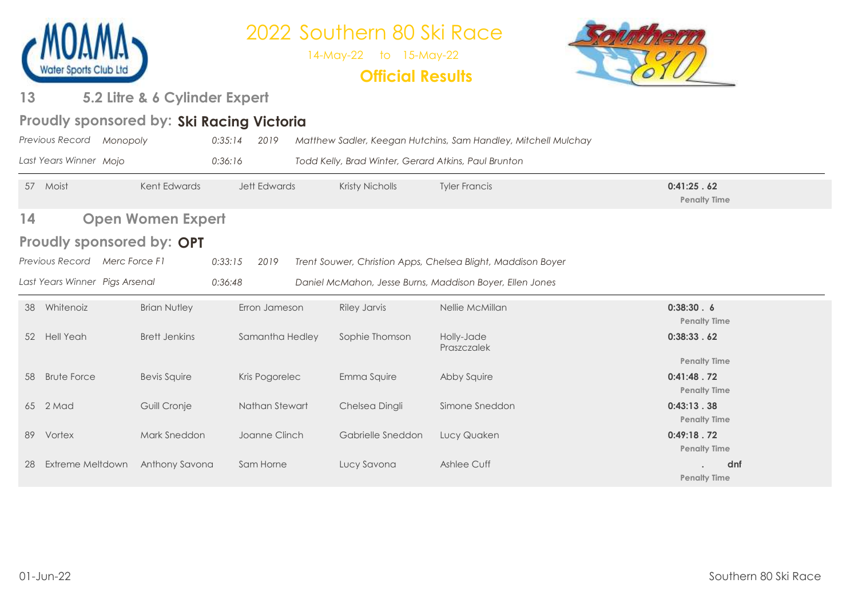

14-May-22 to 15-May-22

### **Official Results**



#### **5.2 Litre & 6 Cylinder Expert 13**

### Proudly sponsored by: Ski Racing Victoria

|    | Previous Record                | Monopoly                         | 0:35:14<br>2019     |                 |                                                      | Matthew Sadler, Keegan Hutchins, Sam Handley, Mitchell Mulchay |                                                          |  |
|----|--------------------------------|----------------------------------|---------------------|-----------------|------------------------------------------------------|----------------------------------------------------------------|----------------------------------------------------------|--|
|    | Last Years Winner Mojo         |                                  | 0:36:16             |                 | Todd Kelly, Brad Winter, Gerard Atkins, Paul Brunton |                                                                |                                                          |  |
| 57 | Moist                          | Kent Edwards                     | <b>Jett Edwards</b> |                 | Kristy Nicholls                                      | <b>Tyler Francis</b>                                           | 0:41:25.62<br><b>Penalty Time</b>                        |  |
| 14 |                                | <b>Open Women Expert</b>         |                     |                 |                                                      |                                                                |                                                          |  |
|    |                                | <b>Proudly sponsored by: OPT</b> |                     |                 |                                                      |                                                                |                                                          |  |
|    | Previous Record                | Merc Force F1                    | 0:33:15<br>2019     |                 |                                                      | Trent Souwer, Christion Apps, Chelsea Blight, Maddison Boyer   |                                                          |  |
|    | Last Years Winner Pigs Arsenal |                                  | 0:36:48             |                 |                                                      | Daniel McMahon, Jesse Burns, Maddison Boyer, Ellen Jones       |                                                          |  |
| 38 | Whitenoiz                      | <b>Brian Nutley</b>              |                     | Erron Jameson   | <b>Riley Jarvis</b>                                  | Nellie McMillan                                                | 0:38:30.6<br><b>Penalty Time</b>                         |  |
|    | 52 Hell Yeah                   | <b>Brett Jenkins</b>             |                     | Samantha Hedley | Sophie Thomson                                       | Holly-Jade<br>Praszczalek                                      | 0:38:33.62                                               |  |
| 58 | <b>Brute Force</b>             | <b>Bevis Squire</b>              |                     | Kris Pogorelec  | Emma Squire                                          | Abby Squire                                                    | <b>Penalty Time</b><br>0:41:48.72<br><b>Penalty Time</b> |  |
|    | 65 2 Mad                       | Guill Cronje                     |                     | Nathan Stewart  | Chelsea Dingli                                       | Simone Sneddon                                                 | 0:43:13.38<br><b>Penalty Time</b>                        |  |
| 89 | Vortex                         | Mark Sneddon                     |                     | Joanne Clinch   | Gabrielle Sneddon                                    | Lucy Quaken                                                    | 0:49:18.72<br><b>Penalty Time</b>                        |  |
| 28 | Extreme Meltdown               | Anthony Savona                   | Sam Horne           |                 | Lucy Savona                                          | Ashlee Cuff                                                    | dnf<br><b>Penalty Time</b>                               |  |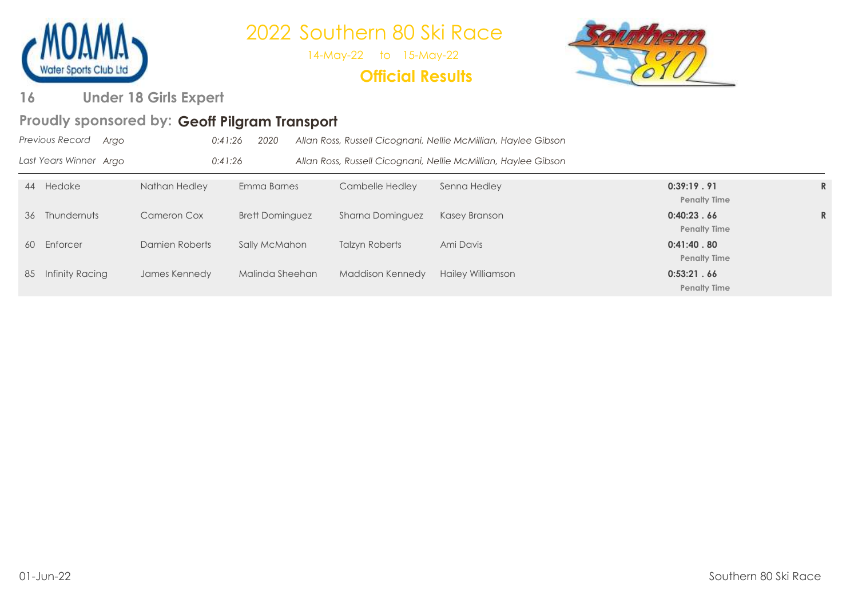

14-May-22 to 15-May-22

### **Official Results**



**Under 18 Girls Expert 16** 

### Proudly sponsored by: Geoff Pilgram Transport

| Previous Record<br>Argo |                | 0:41:26<br>2020        |                  | Allan Ross, Russell Cicognani, Nellie McMillian, Haylee Gibson |                                   |  |
|-------------------------|----------------|------------------------|------------------|----------------------------------------------------------------|-----------------------------------|--|
| Last Years Winner Argo  |                | 0:41:26                |                  | Allan Ross, Russell Cicognani, Nellie McMillian, Haylee Gibson |                                   |  |
| 44 Hedake               | Nathan Hedley  | Emma Barnes            | Cambelle Hedley  | Senna Hedley                                                   | 0:39:19.91<br><b>Penalty Time</b> |  |
| Thundernuts<br>36       | Cameron Cox    | <b>Brett Dominguez</b> | Sharna Dominguez | Kasey Branson                                                  | 0:40:23.66<br><b>Penalty Time</b> |  |
| Enforcer<br>60          | Damien Roberts | Sally McMahon          | Talzyn Roberts   | Ami Davis                                                      | 0:41:40.80<br><b>Penalty Time</b> |  |
| Infinity Racing<br>85   | James Kennedy  | Malinda Sheehan        | Maddison Kennedy | <b>Hailey Williamson</b>                                       | 0:53:21.66<br><b>Penalty Time</b> |  |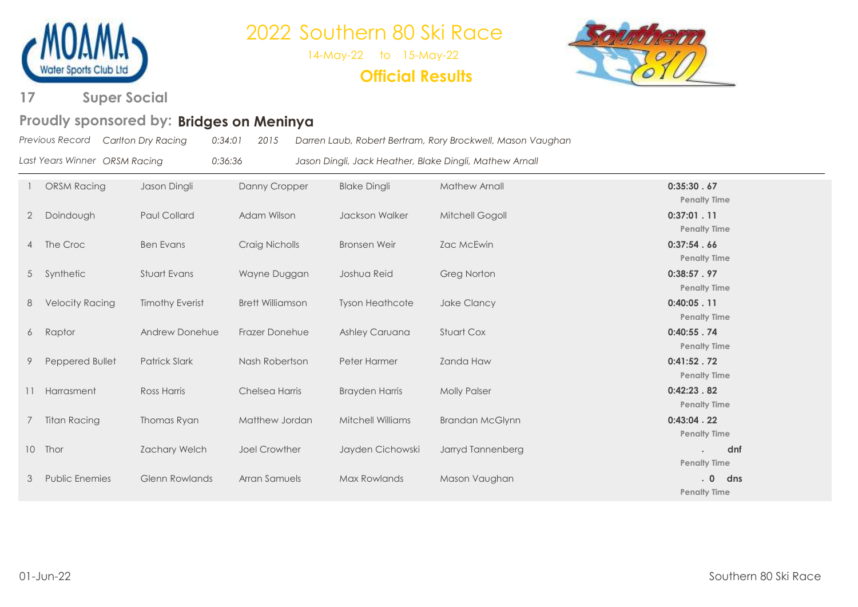

14-May-22 to 15-May-22

### **Official Results**



#### **Super Social 17**

#### **Bridges on Meninya Proudly sponsored by:**

|                               | Previous Record Carlton Dry Racing | 0:34:01 | 2015 | Darren Laub, Robert Bertram, Rory Brockwell, Mason Vaughan |
|-------------------------------|------------------------------------|---------|------|------------------------------------------------------------|
| Last Years Winner ORSM Racing |                                    | 0:36:36 |      | Jason Dingli, Jack Heather, Blake Dingli, Mathew Arnall    |

|                 | <b>ORSM Racing</b>     | Jason Dingli           | Danny Cropper           | <b>Blake Dingli</b>      | <b>Mathew Arnall</b>   | 0:35:30.67<br><b>Penalty Time</b>       |
|-----------------|------------------------|------------------------|-------------------------|--------------------------|------------------------|-----------------------------------------|
| $\overline{2}$  | Doindough              | <b>Paul Collard</b>    | Adam Wilson             | <b>Jackson Walker</b>    | Mitchell Gogoll        | 0:37:01.11<br><b>Penalty Time</b>       |
|                 | 4 The Croc             | <b>Ben Evans</b>       | Craig Nicholls          | <b>Bronsen Weir</b>      | Zac McEwin             | 0:37:54.66<br><b>Penalty Time</b>       |
|                 | 5 Synthetic            | Stuart Evans           | Wayne Duggan            | Joshua Reid              | <b>Greg Norton</b>     | 0:38:57.97<br><b>Penalty Time</b>       |
| 8               | <b>Velocity Racing</b> | <b>Timothy Everist</b> | <b>Brett Williamson</b> | <b>Tyson Heathcote</b>   | Jake Clancy            | 0:40:05.11<br><b>Penalty Time</b>       |
|                 | 6 Raptor               | Andrew Donehue         | Frazer Donehue          | Ashley Caruana           | <b>Stuart Cox</b>      | 0:40:55.74<br><b>Penalty Time</b>       |
| 9               | Peppered Bullet        | <b>Patrick Slark</b>   | Nash Robertson          | Peter Harmer             | <b>Zanda Haw</b>       | 0:41:52.72<br><b>Penalty Time</b>       |
|                 | Harrasment             | <b>Ross Harris</b>     | Chelsea Harris          | <b>Brayden Harris</b>    | <b>Molly Palser</b>    | 0:42:23.82<br><b>Penalty Time</b>       |
|                 | <b>Titan Racing</b>    | Thomas Ryan            | Matthew Jordan          | <b>Mitchell Williams</b> | <b>Brandan McGlynn</b> | 0:43:04.22<br><b>Penalty Time</b>       |
| 10 <sup>°</sup> | Thor                   | <b>Zachary Welch</b>   | <b>Joel Crowther</b>    | Jayden Cichowski         | Jarryd Tannenberg      | dnf<br><b>Penalty Time</b>              |
| 3               | <b>Public Enemies</b>  | <b>Glenn Rowlands</b>  | Arran Samuels           | Max Rowlands             | Mason Vaughan          | $\cdot$ 0<br>dns<br><b>Penalty Time</b> |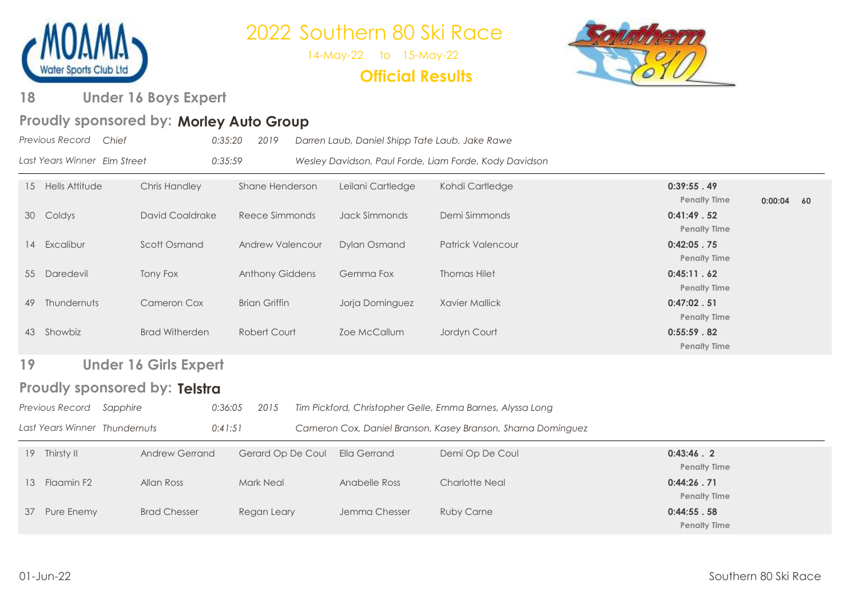

14-May-22 to 15-May-22

**Official Results**



#### **Under 16 Boys Expert 18**

#### Proudly sponsored by: Morley Auto Group

|    | Previous Record<br>Chief      | 0:35:20                      | 2019                    | Darren Laub, Daniel Shipp Tate Laub, Jake Rawe |                                                              |                                   |              |  |
|----|-------------------------------|------------------------------|-------------------------|------------------------------------------------|--------------------------------------------------------------|-----------------------------------|--------------|--|
|    | Last Years Winner Elm Street  | 0:35:59                      |                         |                                                | Wesley Davidson, Paul Forde, Liam Forde, Kody Davidson       |                                   |              |  |
|    | 15 Hells Attitude             | <b>Chris Handley</b>         | Shane Henderson         | Leilani Cartledge                              | Kohdi Cartledge                                              | 0:39:55.49<br><b>Penalty Time</b> | $0:00:04$ 60 |  |
|    | 30 Coldys                     | <b>David Coaldrake</b>       | Reece Simmonds          | Jack Simmonds                                  | Demi Simmonds                                                | 0:41:49.52<br><b>Penalty Time</b> |              |  |
|    | 14 Excalibur                  | Scott Osmand                 | <b>Andrew Valencour</b> | <b>Dylan Osmand</b>                            | <b>Patrick Valencour</b>                                     | 0:42:05.75<br><b>Penalty Time</b> |              |  |
|    | 55 Daredevil                  | Tony Fox                     | Anthony Giddens         | Gemma Fox                                      | <b>Thomas Hilet</b>                                          | 0:45:11.62<br><b>Penalty Time</b> |              |  |
| 49 | Thundernuts                   | <b>Cameron Cox</b>           | <b>Brian Griffin</b>    | Jorja Dominguez                                | <b>Xavier Mallick</b>                                        | 0:47:02.51<br><b>Penalty Time</b> |              |  |
|    | 43 Showbiz                    | <b>Brad Witherden</b>        | Robert Court            | Zoe McCallum                                   | Jordyn Court                                                 | 0:55:59.82<br><b>Penalty Time</b> |              |  |
| 19 |                               | <b>Under 16 Girls Expert</b> |                         |                                                |                                                              |                                   |              |  |
|    | Proudly sponsored by: Telstra |                              |                         |                                                |                                                              |                                   |              |  |
|    | Previous Record Sapphire      | 0:36:05                      | 2015                    |                                                | Tim Pickford, Christopher Gelle, Emma Barnes, Alyssa Long    |                                   |              |  |
|    | Last Years Winner Thundernuts | 0:41:51                      |                         |                                                | Cameron Cox, Daniel Branson, Kasey Branson, Sharna Dominguez |                                   |              |  |
|    | 19 Thirsty II                 | <b>Andrew Gerrand</b>        | Gerard Op De Coul       | <b>Ella Gerrand</b>                            | Demi Op De Coul                                              | 0:43:46.2<br><b>Penalty Time</b>  |              |  |
|    | 13 Flaamin F2                 | Allan Ross                   | <b>Mark Neal</b>        | Anabelle Ross                                  | <b>Charlotte Neal</b>                                        | 0:44:26.71<br><b>Penalty Time</b> |              |  |
| 37 | Pure Enemy                    | <b>Brad Chesser</b>          | Regan Leary             | Jemma Chesser                                  | <b>Ruby Carne</b>                                            | 0:44:55.58<br><b>Penalty Time</b> |              |  |
|    |                               |                              |                         |                                                |                                                              |                                   |              |  |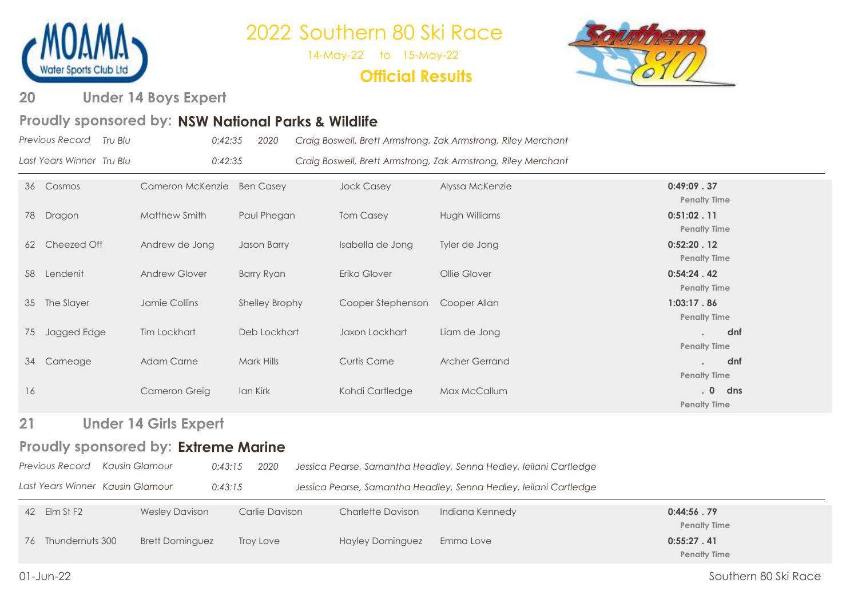

14-May-22 to 15-May-22

**Official Results**



**Under 14 Boys Expert 20**

### Proudly sponsored by: NSW National Parks & Wildlife

| Previous Record Tru Blu   | 0:42:35 | 2020 | Craig Boswell, Brett Armstrong, Zak Armstrong, Riley Merchant |
|---------------------------|---------|------|---------------------------------------------------------------|
| Last Years Winner Tru Blu | 0:42:35 |      | Craig Boswell, Brett Armstrong, Zak Armstrong, Riley Merchant |

| 36 | Cosmos        | Cameron McKenzie     | <b>Ben Casey</b>  | <b>Jock Casey</b>   | Alyssa McKenzie | 0:49:09.37          |
|----|---------------|----------------------|-------------------|---------------------|-----------------|---------------------|
|    |               |                      |                   |                     |                 | <b>Penalty Time</b> |
| 78 | Dragon        | Matthew Smith        | Paul Phegan       | <b>Tom Casey</b>    | Hugh Williams   | 0:51:02.11          |
|    |               |                      |                   |                     |                 | <b>Penalty Time</b> |
| 62 | Cheezed Off   | Andrew de Jong       | Jason Barry       | Isabella de Jong    | Tyler de Jong   | 0:52:20.12          |
|    |               |                      |                   |                     |                 | <b>Penalty Time</b> |
| 58 | Lendenit      | <b>Andrew Glover</b> | <b>Barry Ryan</b> | Erika Glover        | Ollie Glover    | 0:54:24.42          |
|    |               |                      |                   |                     |                 | <b>Penalty Time</b> |
|    | 35 The Slayer | Jamie Collins        | Shelley Brophy    | Cooper Stephenson   | Cooper Allan    | 1:03:17.86          |
|    |               |                      |                   |                     |                 | <b>Penalty Time</b> |
| 75 | Jagged Edge   | Tim Lockhart         | Deb Lockhart      | Jaxon Lockhart      | Liam de Jong    | dnf                 |
|    |               |                      |                   |                     |                 | <b>Penalty Time</b> |
| 34 | Carneage      | <b>Adam Carne</b>    | Mark Hills        | <b>Curtis Carne</b> | Archer Gerrand  | dnf                 |
|    |               |                      |                   |                     |                 | <b>Penalty Time</b> |
| 16 |               | Cameron Greig        | Ian Kirk          | Kohdi Cartledge     | Max McCallum    | dns<br>.07          |
|    |               |                      |                   |                     |                 | <b>Penalty Time</b> |

**Under 14 Girls Expert 21** 

### Proudly sponsored by: Extreme Marine

| Previous Record Kausin Glamour | 0:43:15 2020 | Jessica Pearse, Samantha Headley, Senna Hedley, Ieilani Cartledge |
|--------------------------------|--------------|-------------------------------------------------------------------|
|                                |              |                                                                   |

| Last Years Winner Kausin Glamour<br>Jessica Pearse, Samantha Headley, Senna Hedley, leilani Cartledge<br>0:43:15 |  |
|------------------------------------------------------------------------------------------------------------------|--|
|------------------------------------------------------------------------------------------------------------------|--|

| 42 Elm St F2       | <b>Wesley Davison</b>  | Carlie Davison | <b>Charlette Davison</b> | Indiana Kennedy | 0:44:56.79          |
|--------------------|------------------------|----------------|--------------------------|-----------------|---------------------|
|                    |                        |                |                          |                 | <b>Penalty Time</b> |
| 76 Thundernuts 300 | <b>Brett Dominguez</b> | Troy Love      | Hayley Dominguez         | Emma Love       | 0:55:27.41          |
|                    |                        |                |                          |                 | <b>Penalty Time</b> |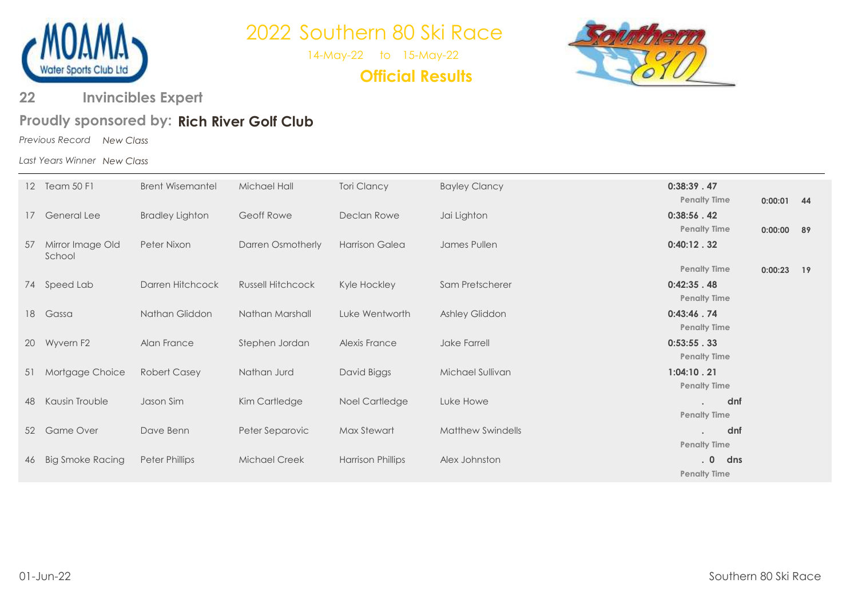

14-May-22 to 15-May-22

**Official Results**



**Invincibles Expert 22** 

### **Rich River Golf Club Proudly sponsored by:**

*Previous Record New Class*

*Last Years Winner New Class*

|           | 12 Team 50 F1              | <b>Brent Wisemantel</b> | Michael Hall             | <b>Tori Clancy</b>       | <b>Bayley Clancy</b>     | 0:38:39.47<br><b>Penalty Time</b> | $0:00:01$ 44 |    |
|-----------|----------------------------|-------------------------|--------------------------|--------------------------|--------------------------|-----------------------------------|--------------|----|
| 17        | <b>General Lee</b>         | <b>Bradley Lighton</b>  | Geoff Rowe               | Declan Rowe              | Jai Lighton              | 0:38:56.42<br><b>Penalty Time</b> | 0:00:00      | 89 |
| 57        | Mirror Image Old<br>School | Peter Nixon             | Darren Osmotherly        | <b>Harrison Galea</b>    | James Pullen             | 0:40:12.32                        |              |    |
|           |                            |                         |                          |                          |                          | <b>Penalty Time</b>               | 0:00:23      | 19 |
| 74        | Speed Lab                  | Darren Hitchcock        | <b>Russell Hitchcock</b> | Kyle Hockley             | Sam Pretscherer          | 0:42:35.48                        |              |    |
|           |                            |                         |                          |                          |                          | <b>Penalty Time</b>               |              |    |
| 18        | Gassa                      | Nathan Gliddon          | Nathan Marshall          | Luke Wentworth           | Ashley Gliddon           | 0:43:46.74                        |              |    |
|           |                            |                         |                          |                          |                          | <b>Penalty Time</b>               |              |    |
| <b>20</b> | Wyvern F2                  | Alan France             | Stephen Jordan           | <b>Alexis France</b>     | Jake Farrell             | 0:53:55.33                        |              |    |
|           |                            |                         |                          |                          |                          | <b>Penalty Time</b>               |              |    |
| 51        | Mortgage Choice            | <b>Robert Casey</b>     | Nathan Jurd              | David Biggs              | Michael Sullivan         | 1:04:10.21                        |              |    |
|           |                            |                         |                          |                          |                          | <b>Penalty Time</b>               |              |    |
| 48        | Kausin Trouble             | Jason Sim               | Kim Cartledge            | Noel Cartledge           | Luke Howe                | dnf                               |              |    |
|           |                            |                         |                          |                          |                          | <b>Penalty Time</b>               |              |    |
| 52        | <b>Game Over</b>           | Dave Benn               | Peter Separovic          | Max Stewart              | <b>Matthew Swindells</b> | dnf                               |              |    |
|           |                            |                         |                          |                          |                          | <b>Penalty Time</b>               |              |    |
| 46        | <b>Big Smoke Racing</b>    | <b>Peter Phillips</b>   | <b>Michael Creek</b>     | <b>Harrison Phillips</b> | Alex Johnston            | dns<br>.0                         |              |    |
|           |                            |                         |                          |                          |                          | <b>Penalty Time</b>               |              |    |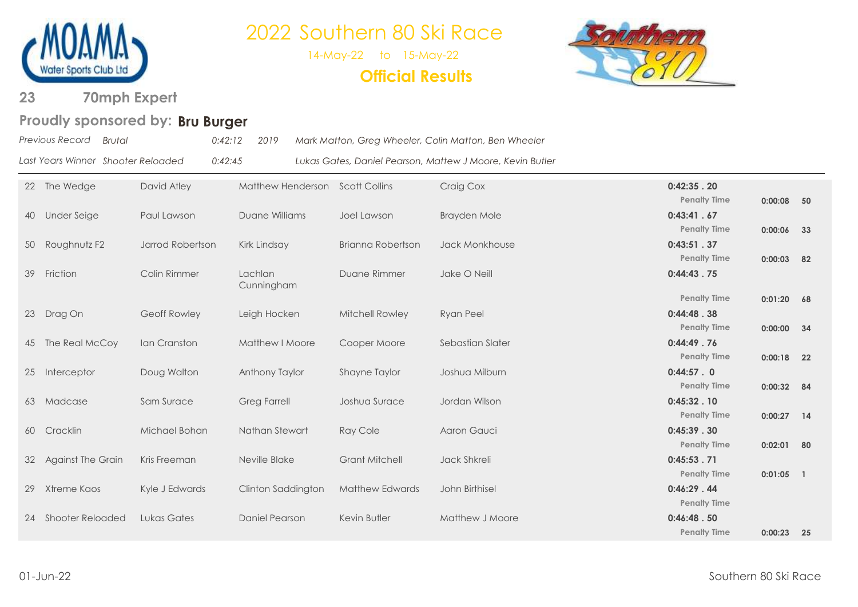

14-May-22 to 15-May-22

**Official Results**



**70mph Expert 23** 

### Proudly sponsored by: Bru Burger

| Previous Record Brutal |                                    | $0:42:12$ 2019 | Mark Matton, Greg Wheeler, Colin Matton, Ben Wheeler      |
|------------------------|------------------------------------|----------------|-----------------------------------------------------------|
|                        | Last Years Winner Shooter Reloaded | 0:42:45        | Lukas Gates, Daniel Pearson, Mattew J Moore, Kevin Butler |

|    | 22 The Wedge            | David Atley      | Matthew Henderson Scott Collins |                          | Craig Cox           | 0:42:35.20                        |              |     |
|----|-------------------------|------------------|---------------------------------|--------------------------|---------------------|-----------------------------------|--------------|-----|
| 40 | <b>Under Seige</b>      | Paul Lawson      | Duane Williams                  | Joel Lawson              | <b>Brayden Mole</b> | <b>Penalty Time</b><br>0:43:41.67 | $0:00:08$ 50 |     |
|    |                         |                  |                                 |                          |                     | <b>Penalty Time</b>               | 0:00:06      | 33  |
| 50 | Roughnutz F2            | Jarrod Robertson | Kirk Lindsay                    | <b>Brianna Robertson</b> | Jack Monkhouse      | 0:43:51.37                        |              |     |
|    |                         |                  |                                 |                          |                     | <b>Penalty Time</b>               | 0:00:03      | 82  |
| 39 | Friction                | Colin Rimmer     | Lachlan<br>Cunningham           | Duane Rimmer             | Jake O Neill        | 0:44:43.75                        |              |     |
|    |                         |                  |                                 |                          |                     | <b>Penalty Time</b>               | $0:01:20$ 68 |     |
| 23 | Drag On                 | Geoff Rowley     | Leigh Hocken                    | Mitchell Rowley          | <b>Ryan Peel</b>    | 0:44:48.38                        |              |     |
|    |                         |                  |                                 |                          |                     | <b>Penalty Time</b>               | $0:00:00$ 34 |     |
|    | 45 The Real McCoy       | Ian Cranston     | Matthew I Moore                 | Cooper Moore             | Sebastian Slater    | 0:44:49.76                        |              |     |
|    |                         |                  |                                 | <b>Shayne Taylor</b>     | Joshua Milburn      | <b>Penalty Time</b><br>0:44:57.0  | $0:00:18$ 22 |     |
|    | 25 Interceptor          | Doug Walton      | Anthony Taylor                  |                          |                     | <b>Penalty Time</b>               | $0:00:32$ 84 |     |
|    | 63 Madcase              | Sam Surace       | <b>Greg Farrell</b>             | Joshua Surace            | Jordan Wilson       | 0:45:32.10                        |              |     |
|    |                         |                  |                                 |                          |                     | <b>Penalty Time</b>               | $0:00:27$ 14 |     |
| 60 | Cracklin                | Michael Bohan    | Nathan Stewart                  | <b>Ray Cole</b>          | Aaron Gauci         | 0:45:39.30                        |              |     |
|    |                         |                  |                                 |                          |                     | <b>Penalty Time</b>               | 0:02:01      | 80  |
|    | 32 Against The Grain    | Kris Freeman     | Neville Blake                   | <b>Grant Mitchell</b>    | Jack Shkreli        | 0:45:53.71                        |              |     |
|    |                         |                  |                                 |                          |                     | <b>Penalty Time</b>               | $0:01:05$ 1  |     |
| 29 | Xtreme Kaos             | Kyle J Edwards   | Clinton Saddington              | <b>Matthew Edwards</b>   | John Birthisel      | 0:46:29.44                        |              |     |
|    |                         |                  |                                 |                          |                     | <b>Penalty Time</b>               |              |     |
| 24 | <b>Shooter Reloaded</b> | Lukas Gates      | Daniel Pearson                  | Kevin Butler             | Matthew J Moore     | 0:46:48.50<br><b>Penalty Time</b> |              |     |
|    |                         |                  |                                 |                          |                     |                                   | 0:00:23      | -25 |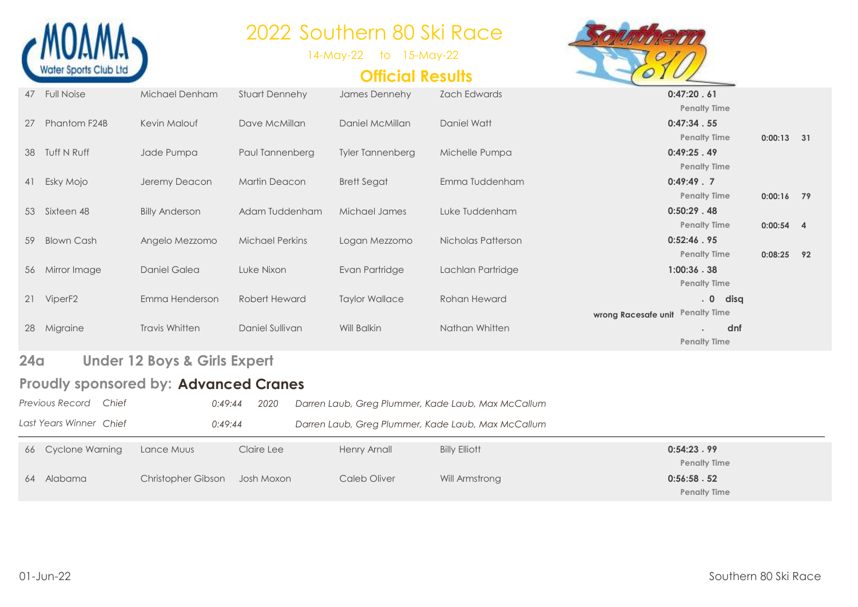

14-May-22 to 15-May-22

### **Official Results**



| 66              | <b>Cyclone Warning</b>   | Lance Muus                                   | Claire Lee             | <b>Henry Arnall</b>     | <b>Billy Elliott</b>                               | 0:54:23.99                        |              |  |
|-----------------|--------------------------|----------------------------------------------|------------------------|-------------------------|----------------------------------------------------|-----------------------------------|--------------|--|
|                 | Last Years Winner Chief  | 0:49:44                                      |                        |                         | Darren Laub, Greg Plummer, Kade Laub, Max McCallum |                                   |              |  |
|                 | Previous Record<br>Chief | 0:49:44                                      | 2020                   |                         | Darren Laub, Greg Plummer, Kade Laub, Max McCallum |                                   |              |  |
|                 |                          | <b>Proudly sponsored by: Advanced Cranes</b> |                        |                         |                                                    |                                   |              |  |
| 24 <sub>q</sub> |                          | <b>Under 12 Boys &amp; Girls Expert</b>      |                        |                         |                                                    |                                   |              |  |
|                 |                          |                                              |                        |                         |                                                    | <b>Penalty Time</b>               |              |  |
| 28              | Migraine                 | Travis Whitten                               | Daniel Sullivan        | Will Balkin             | Nathan Whitten                                     | dnf                               |              |  |
|                 |                          |                                              |                        |                         |                                                    | wrong Racesafe unit Penalty Time  |              |  |
|                 | 21 ViperF2               | Emma Henderson                               | Robert Heward          | <b>Taylor Wallace</b>   | Rohan Heward                                       | .0<br>disq                        |              |  |
| 56              | Mirror Image             | <b>Daniel Galea</b>                          | Luke Nixon             | Evan Partridge          | Lachlan Partridge                                  | 1:00:36.38<br><b>Penalty Time</b> |              |  |
|                 |                          |                                              |                        |                         |                                                    | <b>Penalty Time</b>               | $0:08:25$ 92 |  |
| 59              | <b>Blown Cash</b>        | Angelo Mezzomo                               | <b>Michael Perkins</b> | Logan Mezzomo           | Nicholas Patterson                                 | 0:52:46.95                        |              |  |
|                 |                          |                                              |                        |                         |                                                    | <b>Penalty Time</b>               | $0:00:54$ 4  |  |
| 53              | Sixteen 48               | <b>Billy Anderson</b>                        | Adam Tuddenham         | Michael James           | Luke Tuddenham                                     | <b>Penalty Time</b><br>0:50:29.48 | $0:00:16$ 79 |  |
| 41              | Esky Mojo                | Jeremy Deacon                                | <b>Martin Deacon</b>   | <b>Brett Segat</b>      | Emma Tuddenham                                     | 0:49:49.7                         |              |  |
|                 |                          |                                              |                        |                         |                                                    | <b>Penalty Time</b>               |              |  |
| 38              | Tuff N Ruff              | Jade Pumpa                                   | Paul Tannenberg        | <b>Tyler Tannenberg</b> | Michelle Pumpa                                     | <b>Penalty Time</b><br>0:49:25.49 | $0:00:13$ 31 |  |
| 27              | Phantom F24B             | Kevin Malouf                                 | Dave McMillan          | Daniel McMillan         | Daniel Watt                                        | 0:47:34.55                        |              |  |
|                 |                          |                                              |                        |                         |                                                    | <b>Penalty Time</b>               |              |  |
| 47              | <b>Full Noise</b>        | Michael Denham                               | <b>Stuart Dennehy</b>  | James Dennehy           | <b>Zach Edwards</b>                                | 0:47:20.61                        |              |  |

**Penalty Time**

64 Alabama Christopher Gibson Josh Moxon Caleb Oliver Will Armstrong **0:56:58 . 52 Penalty Time**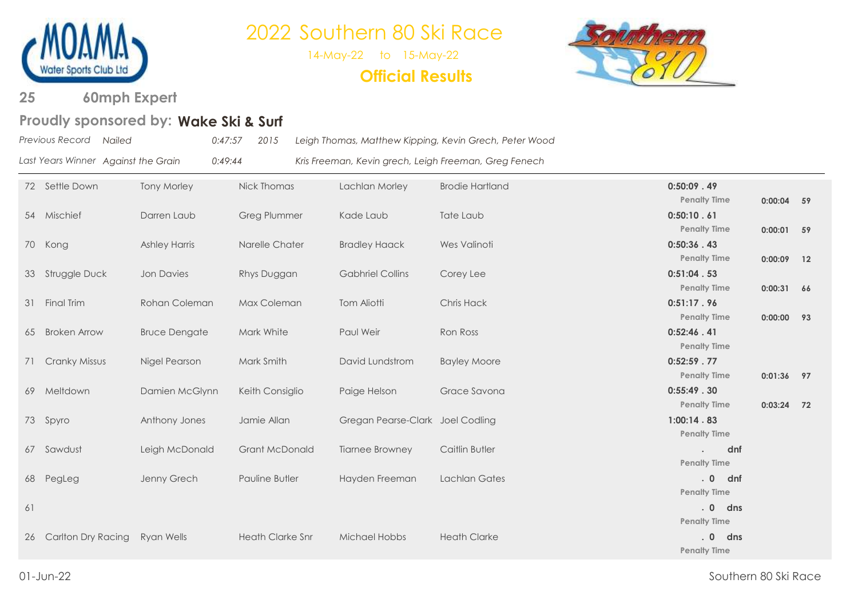

14-May-22 to 15-May-22

**Official Results**



**60mph Expert 25** 

### **Wake Ski & Surf Proudly sponsored by:**

| Previous Record Nailed |                                     | 0:47:57 | 2015 | Leigh Thomas, Matthew Kipping, Kevin Grech, Peter Wood |
|------------------------|-------------------------------------|---------|------|--------------------------------------------------------|
|                        | Last Years Winner Against the Grain | 0:49:44 |      | Kris Freeman, Kevin grech, Leigh Freeman, Greg Fenech  |

|    | 72 Settle Down       | <b>Tony Morley</b>   | Nick Thomas             | Lachlan Morley                   | <b>Brodie Hartland</b> | $0:50:09$ . 49<br><b>Penalty Time</b> | $0:00:04$ 59 |  |
|----|----------------------|----------------------|-------------------------|----------------------------------|------------------------|---------------------------------------|--------------|--|
|    | 54 Mischief          | Darren Laub          | <b>Greg Plummer</b>     | Kade Laub                        | Tate Laub              | 0:50:10.61<br><b>Penalty Time</b>     | $0:00:01$ 59 |  |
|    | 70 Kong              | <b>Ashley Harris</b> | Narelle Chater          | <b>Bradley Haack</b>             | Wes Valinoti           | 0:50:36.43                            |              |  |
|    | 33 Struggle Duck     | Jon Davies           | Rhys Duggan             | <b>Gabhriel Collins</b>          | Corey Lee              | <b>Penalty Time</b><br>0:51:04.53     | $0:00:09$ 12 |  |
|    | 31 Final Trim        | Rohan Coleman        | Max Coleman             | Tom Aliotti                      | Chris Hack             | <b>Penalty Time</b><br>0:51:17.96     | $0:00:31$ 66 |  |
|    |                      |                      |                         |                                  |                        | <b>Penalty Time</b>                   | $0:00:00$ 93 |  |
|    | 65 Broken Arrow      | <b>Bruce Dengate</b> | Mark White              | Paul Weir                        | Ron Ross               | 0:52:46.41<br><b>Penalty Time</b>     |              |  |
| 71 | <b>Cranky Missus</b> | Nigel Pearson        | Mark Smith              | David Lundstrom                  | <b>Bayley Moore</b>    | 0:52:59.77<br><b>Penalty Time</b>     | $0:01:36$ 97 |  |
|    | 69 Meltdown          | Damien McGlynn       | Keith Consiglio         | Paige Helson                     | Grace Savona           | 0:55:49.30<br><b>Penalty Time</b>     |              |  |
|    | 73 Spyro             | Anthony Jones        | Jamie Allan             | Gregan Pearse-Clark Joel Codling |                        | 1:00:14.83                            | $0:03:24$ 72 |  |
|    | 67 Sawdust           | Leigh McDonald       | <b>Grant McDonald</b>   | <b>Tiarnee Browney</b>           | Caitlin Butler         | <b>Penalty Time</b><br>dnf            |              |  |
|    |                      |                      | Pauline Butler          |                                  | <b>Lachlan Gates</b>   | <b>Penalty Time</b><br>.0<br>dnf      |              |  |
|    | 68 PegLeg            | Jenny Grech          |                         | Hayden Freeman                   |                        | <b>Penalty Time</b>                   |              |  |
| 61 |                      |                      |                         |                                  |                        | .0<br>dns<br><b>Penalty Time</b>      |              |  |
| 26 | Carlton Dry Racing   | Ryan Wells           | <b>Heath Clarke Snr</b> | Michael Hobbs                    | <b>Heath Clarke</b>    | dns<br>.0<br><b>Penalty Time</b>      |              |  |
|    |                      |                      |                         |                                  |                        |                                       |              |  |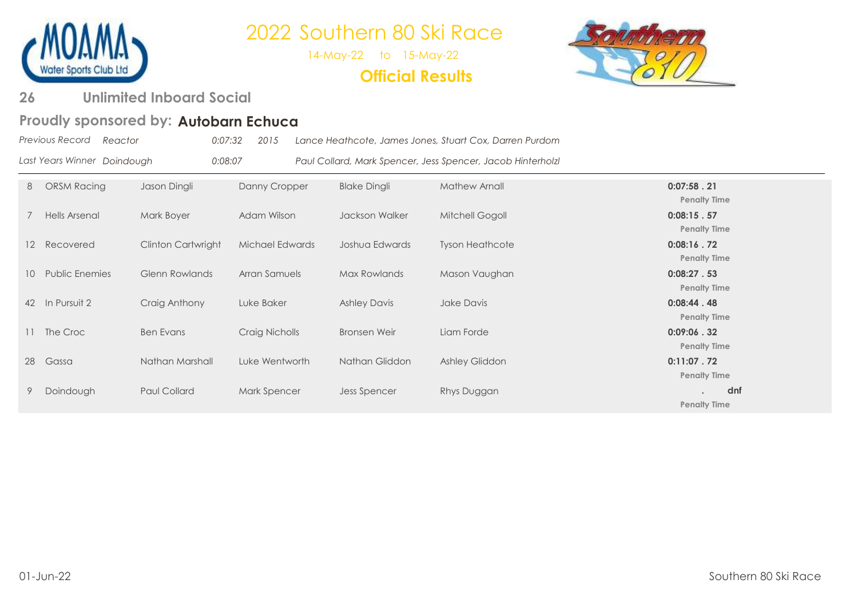

14-May-22 to 15-May-22

**Official Results**



#### **Unlimited Inboard Social 26**

### Proudly sponsored by: Autobarn Echuca

|                 | Previous Record<br>Reactor  | 0:07:32             | 2015            |                     | Lance Heathcote, James Jones, Stuart Cox, Darren Purdom     |                                   |
|-----------------|-----------------------------|---------------------|-----------------|---------------------|-------------------------------------------------------------|-----------------------------------|
|                 | Last Years Winner Doindough | 0:08:07             |                 |                     | Paul Collard, Mark Spencer, Jess Spencer, Jacob Hinterholzl |                                   |
| 8               | ORSM Racing                 | Jason Dingli        | Danny Cropper   | <b>Blake Dingli</b> | Mathew Arnall                                               | 0:07:58.21<br><b>Penalty Time</b> |
|                 | Hells Arsenal               | Mark Boyer          | Adam Wilson     | Jackson Walker      | Mitchell Gogoll                                             | 0:08:15.57<br><b>Penalty Time</b> |
| $12-12$         | Recovered                   | Clinton Cartwright  | Michael Edwards | Joshua Edwards      | <b>Tyson Heathcote</b>                                      | 0:08:16.72<br><b>Penalty Time</b> |
| 10 <sup>°</sup> | <b>Public Enemies</b>       | Glenn Rowlands      | Arran Samuels   | Max Rowlands        | Mason Vaughan                                               | 0:08:27.53<br><b>Penalty Time</b> |
|                 | 42 In Pursuit 2             | Craig Anthony       | Luke Baker      | <b>Ashley Davis</b> | Jake Davis                                                  | 0:08:44.48<br><b>Penalty Time</b> |
|                 | The Croc                    | <b>Ben Evans</b>    | Craig Nicholls  | Bronsen Weir        | Liam Forde                                                  | 0:09:06.32<br><b>Penalty Time</b> |
| 28              | Gassa                       | Nathan Marshall     | Luke Wentworth  | Nathan Gliddon      | Ashley Gliddon                                              | 0:11:07.72<br><b>Penalty Time</b> |
|                 | Doindough                   | <b>Paul Collard</b> | Mark Spencer    | Jess Spencer        | Rhys Duggan                                                 | dnf<br><b>Penalty Time</b>        |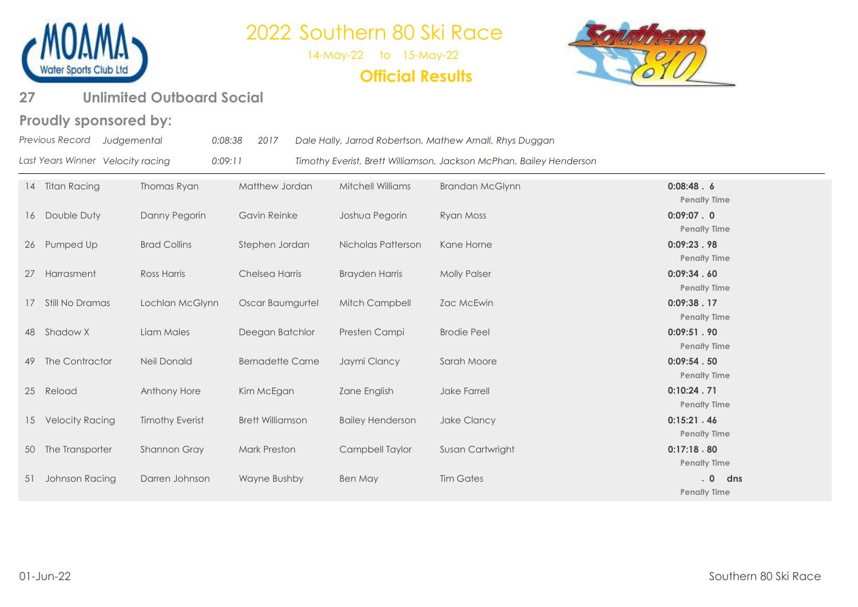

14-May-22 to 15-May-22 **Official Results**



### **27 Unlimited Outboard Social**

#### **Proudly sponsored by:**

|    | Previous Record<br>Judgemental    | 0:08:38                | 2017                    |                         | Dale Hally, Jarrod Robertson, Mathew Arnall, Rhys Duggan            |                                   |
|----|-----------------------------------|------------------------|-------------------------|-------------------------|---------------------------------------------------------------------|-----------------------------------|
|    | Last Years Winner Velocity racing | 0:09:11                |                         |                         | Timothy Everist, Brett Williamson, Jackson McPhan, Bailey Henderson |                                   |
| 14 | <b>Titan Racing</b>               | Thomas Ryan            | Matthew Jordan          | Mitchell Williams       | <b>Brandan McGlynn</b>                                              | 0:08:48.6<br><b>Penalty Time</b>  |
| 16 | Double Duty                       | Danny Pegorin          | Gavin Reinke            | Joshua Pegorin          | Ryan Moss                                                           | 0:09:07.0<br><b>Penalty Time</b>  |
| 26 | Pumped Up                         | <b>Brad Collins</b>    | Stephen Jordan          | Nicholas Patterson      | Kane Horne                                                          | 0:09:23.98<br><b>Penalty Time</b> |
| 27 | Harrasment                        | Ross Harris            | Chelsea Harris          | <b>Brayden Harris</b>   | <b>Molly Palser</b>                                                 | 0:09:34.60<br><b>Penalty Time</b> |
| 17 | Still No Dramas                   | Lochlan McGlynn        | Oscar Baumgurtel        | Mitch Campbell          | Zac McEwin                                                          | 0:09:38.17<br><b>Penalty Time</b> |
| 48 | Shadow X                          | Liam Males             | Deegan Batchlor         | Presten Campi           | <b>Brodie Peel</b>                                                  | 0:09:51.90<br><b>Penalty Time</b> |
| 49 | The Contractor                    | Neil Donald            | <b>Bernadette Carne</b> | Jaymi Clancy            | Sarah Moore                                                         | 0:09:54.50<br><b>Penalty Time</b> |
| 25 | Reload                            | Anthony Hore           | Kim McEgan              | Zane English            | Jake Farrell                                                        | 0:10:24.71<br><b>Penalty Time</b> |
| 15 | <b>Velocity Racing</b>            | <b>Timothy Everist</b> | <b>Brett Williamson</b> | <b>Bailey Henderson</b> | Jake Clancy                                                         | 0:15:21.46<br><b>Penalty Time</b> |

**Penalty Time Penalty Time Penalty Time Penalty Time Penalty Time Penalty Time Penalty Time** 50 The Transporter Shannon Gray Mark Preston Campbell Taylor Susan Cartwright **0:17:18 . 80 Penalty Time** 51 Johnson Racing Darren Johnson Wayne Bushby Ben May Tim Gates **. 0 dns Penalty Time**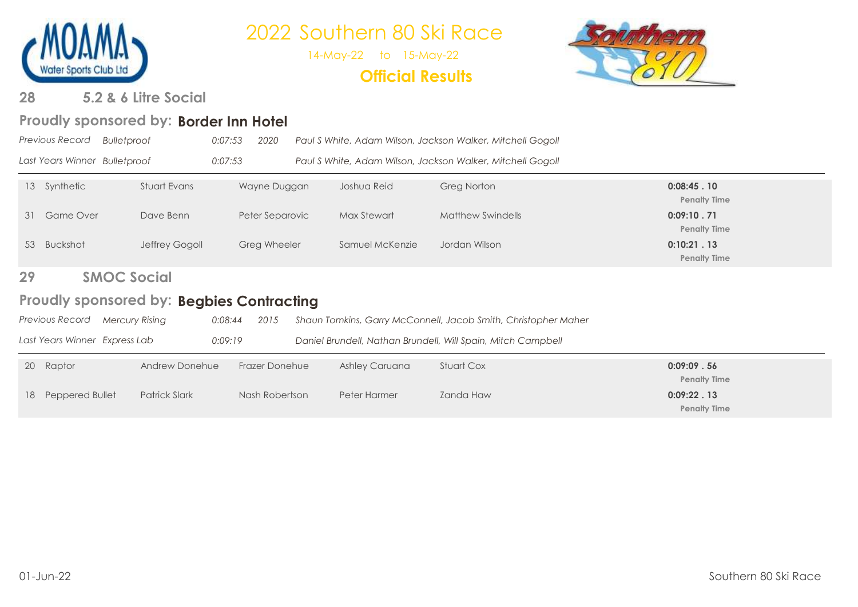

14-May-22 to 15-May-22

### **Official Results**



#### **5.2 & 6 Litre Social 28**

### Proudly sponsored by: Border Inn Hotel

|           | <b>Previous Record</b>        | <b>Bulletproof</b>                        | 0:07:53<br>2020       |                 | Paul S White, Adam Wilson, Jackson Walker, Mitchell Gogoll     |                                   |
|-----------|-------------------------------|-------------------------------------------|-----------------------|-----------------|----------------------------------------------------------------|-----------------------------------|
|           | Last Years Winner Bulletproof |                                           | 0:07:53               |                 | Paul S White, Adam Wilson, Jackson Walker, Mitchell Gogoll     |                                   |
|           | 13 Synthetic                  | Stuart Evans                              | Wayne Duggan          | Joshua Reid     | <b>Greg Norton</b>                                             | 0:08:45.10<br><b>Penalty Time</b> |
| 31        | <b>Game Over</b>              | Dave Benn                                 | Peter Separovic       | Max Stewart     | <b>Matthew Swindells</b>                                       | 0:09:10.71<br><b>Penalty Time</b> |
|           | 53 Buckshot                   | Jeffrey Gogoll                            | Greg Wheeler          | Samuel McKenzie | Jordan Wilson                                                  | 0:10:21.13<br><b>Penalty Time</b> |
| 29        |                               | <b>SMOC Social</b>                        |                       |                 |                                                                |                                   |
|           |                               | Proudly sponsored by: Begbies Contracting |                       |                 |                                                                |                                   |
|           | Previous Record               | Mercury Rising                            | 0:08:44<br>2015       |                 | Shaun Tomkins, Garry McConnell, Jacob Smith, Christopher Maher |                                   |
|           | Last Years Winner Express Lab |                                           | 0:09:19               |                 | Daniel Brundell, Nathan Brundell, Will Spain, Mitch Campbell   |                                   |
| <b>20</b> | Raptor                        | Andrew Donehue                            | <b>Frazer Donehue</b> | Ashley Caruana  | <b>Stuart Cox</b>                                              | 0:09:09.56<br><b>Penalty Time</b> |
| 18        | Peppered Bullet               | <b>Patrick Slark</b>                      | Nash Robertson        | Peter Harmer    | Zanda Haw                                                      | 0:09:22.13<br><b>Penalty Time</b> |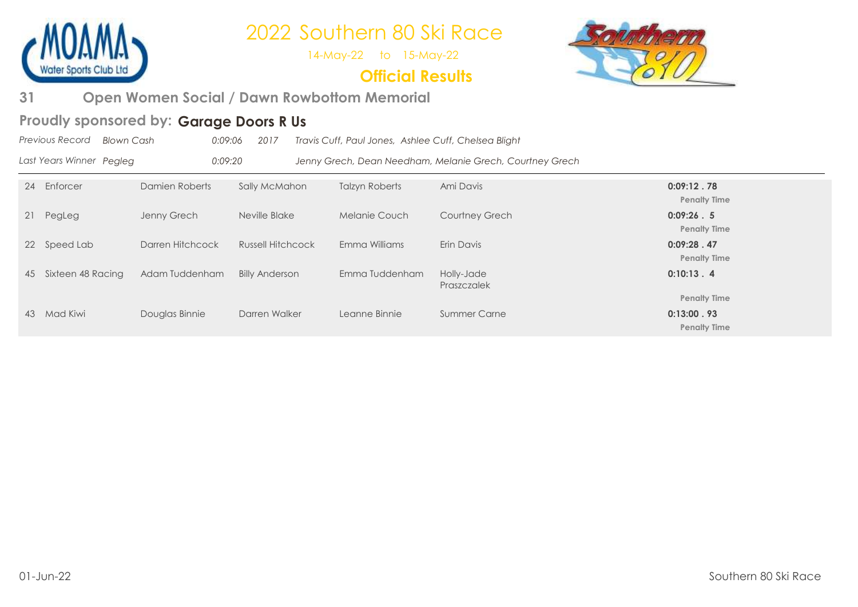

14-May-22 to 15-May-22

### **Official Results**



**Open Women Social / Dawn Rowbottom Memorial 31** 

### Proudly sponsored by: Garage Doors R Us

|    | Previous Record<br><b>Blown Cash</b> |                  | 0:09:06<br>2017          | Travis Cuff, Paul Jones, Ashlee Cuff, Chelsea Blight |                                                          |                                   |
|----|--------------------------------------|------------------|--------------------------|------------------------------------------------------|----------------------------------------------------------|-----------------------------------|
|    | Last Years Winner Pegleg             | 0:09:20          |                          |                                                      | Jenny Grech, Dean Needham, Melanie Grech, Courtney Grech |                                   |
| 24 | Enforcer                             | Damien Roberts   | Sally McMahon            | <b>Talzyn Roberts</b>                                | Ami Davis                                                | 0:09:12.78<br><b>Penalty Time</b> |
| 21 | PegLeg                               | Jenny Grech      | Neville Blake            | Melanie Couch                                        | <b>Courtney Grech</b>                                    | 0:09:26.5<br><b>Penalty Time</b>  |
|    | 22 Speed Lab                         | Darren Hitchcock | <b>Russell Hitchcock</b> | Emma Williams                                        | Erin Davis                                               | 0:09:28.47<br><b>Penalty Time</b> |
| 45 | Sixteen 48 Racing                    | Adam Tuddenham   | <b>Billy Anderson</b>    | Emma Tuddenham                                       | Holly-Jade<br>Praszczalek                                | 0:10:13.4                         |
|    |                                      |                  |                          |                                                      |                                                          | <b>Penalty Time</b>               |
| 43 | Mad Kiwi                             | Douglas Binnie   | Darren Walker            | Leanne Binnie                                        | <b>Summer Carne</b>                                      | 0:13:00.93                        |
|    |                                      |                  |                          |                                                      |                                                          | <b>Penalty Time</b>               |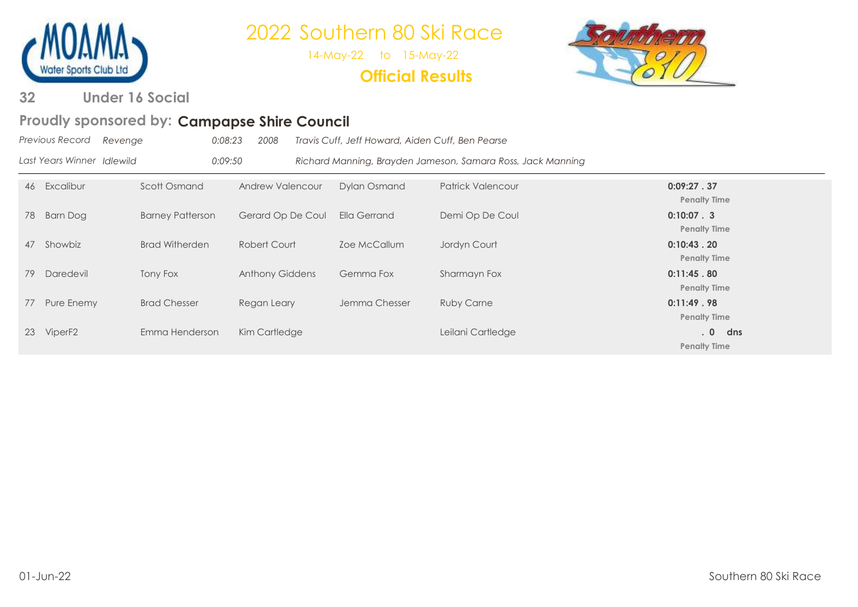

14-May-22 to 15-May-22

**Official Results**



**Under 16 Social 32** 

### Proudly sponsored by: Campapse Shire Council

|    | Previous Record            | Revenge                 | 0:08:23<br>2008        | Travis Cuff, Jeff Howard, Aiden Cuff, Ben Pearse |                                                             |                                     |
|----|----------------------------|-------------------------|------------------------|--------------------------------------------------|-------------------------------------------------------------|-------------------------------------|
|    | Last Years Winner Idlewild |                         | 0:09:50                |                                                  | Richard Manning, Brayden Jameson, Samara Ross, Jack Manning |                                     |
| 46 | Excalibur                  | Scott Osmand            | Andrew Valencour       | <b>Dylan Osmand</b>                              | Patrick Valencour                                           | 0:09:27.37<br><b>Penalty Time</b>   |
| 78 | Barn Dog                   | <b>Barney Patterson</b> | Gerard Op De Coul      | Ella Gerrand                                     | Demi Op De Coul                                             | $0:10:07-.3$<br><b>Penalty Time</b> |
| 47 | Showbiz                    | <b>Brad Witherden</b>   | Robert Court           | Zoe McCallum                                     | Jordyn Court                                                | 0:10:43.20<br><b>Penalty Time</b>   |
| 79 | Daredevil                  | Tony Fox                | <b>Anthony Giddens</b> | Gemma Fox                                        | Sharmayn Fox                                                | 0:11:45.80<br><b>Penalty Time</b>   |
| 77 | Pure Enemy                 | <b>Brad Chesser</b>     | Regan Leary            | Jemma Chesser                                    | <b>Ruby Carne</b>                                           | 0:11:49.98<br><b>Penalty Time</b>   |
| 23 | ViperF <sub>2</sub>        | Emma Henderson          | Kim Cartledge          |                                                  | Leilani Cartledge                                           | .0<br>dns<br><b>Penalty Time</b>    |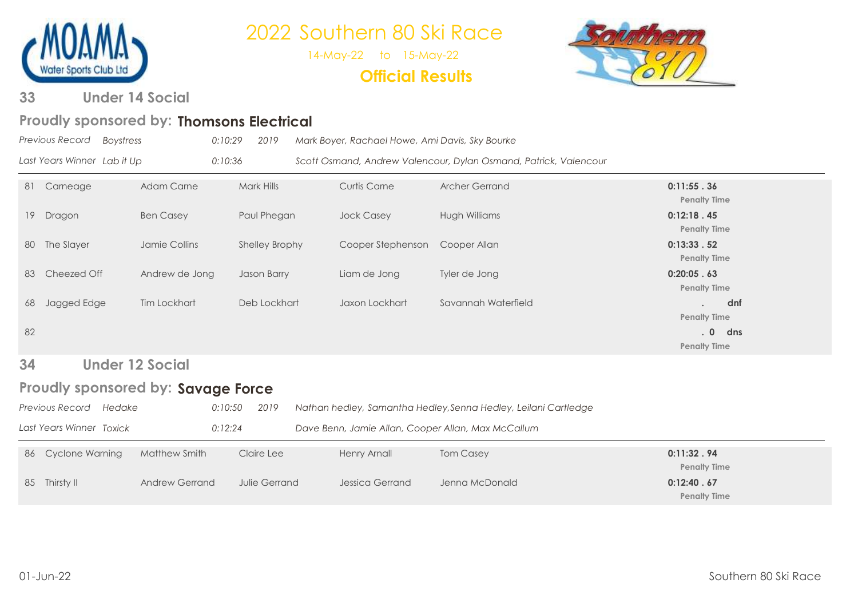

14-May-22 to 15-May-22

**Official Results**



**Under 14 Social 33** 

### Proudly sponsored by: Thomsons Electrical

|    | Previous Record<br>Boystress       | 0:10:29           | 2019           | Mark Boyer, Rachael Howe, Ami Davis, Sky Bourke |                                                                  |                                   |  |
|----|------------------------------------|-------------------|----------------|-------------------------------------------------|------------------------------------------------------------------|-----------------------------------|--|
|    | Last Years Winner Lab it Up        | 0:10:36           |                |                                                 | Scott Osmand, Andrew Valencour, Dylan Osmand, Patrick, Valencour |                                   |  |
| 81 | Carneage                           | <b>Adam Carne</b> | Mark Hills     | <b>Curtis Carne</b>                             | <b>Archer Gerrand</b>                                            | 0:11:55.36<br><b>Penalty Time</b> |  |
| 19 | Dragon                             | <b>Ben Casey</b>  | Paul Phegan    | <b>Jock Casey</b>                               | Hugh Williams                                                    | 0:12:18.45<br><b>Penalty Time</b> |  |
| 80 | The Slayer                         | Jamie Collins     | Shelley Brophy | Cooper Stephenson                               | Cooper Allan                                                     | 0:13:33.52<br><b>Penalty Time</b> |  |
| 83 | Cheezed Off                        | Andrew de Jong    | Jason Barry    | Liam de Jong                                    | Tyler de Jong                                                    | 0:20:05.63<br><b>Penalty Time</b> |  |
| 68 | Jagged Edge                        | Tim Lockhart      | Deb Lockhart   | Jaxon Lockhart                                  | Savannah Waterfield                                              | dnf<br><b>Penalty Time</b>        |  |
| 82 |                                    |                   |                |                                                 |                                                                  | .0<br>dns<br><b>Penalty Time</b>  |  |
| 34 | <b>Under 12 Social</b>             |                   |                |                                                 |                                                                  |                                   |  |
|    | Proudly sponsored by: Savage Force |                   |                |                                                 |                                                                  |                                   |  |

| <b>Previous Record</b><br>Hedake | 0:10:50               | 2019          | Nathan hedley, Samantha Hedley, Senna Hedley, Leilani Cartledge |                  |                                   |
|----------------------------------|-----------------------|---------------|-----------------------------------------------------------------|------------------|-----------------------------------|
| Last Years Winner Toxick         | 0:12:24               |               | Dave Benn, Jamie Allan, Cooper Allan, Max McCallum              |                  |                                   |
| 86 Cyclone Warning               | Matthew Smith         | Claire Lee    | <b>Henry Arnall</b>                                             | <b>Tom Casey</b> | 0:11:32.94<br><b>Penalty Time</b> |
| 85 Thirsty II                    | <b>Andrew Gerrand</b> | Julie Gerrand | Jessica Gerrand                                                 | Jenna McDonald   | 0:12:40.67<br><b>Penalty Time</b> |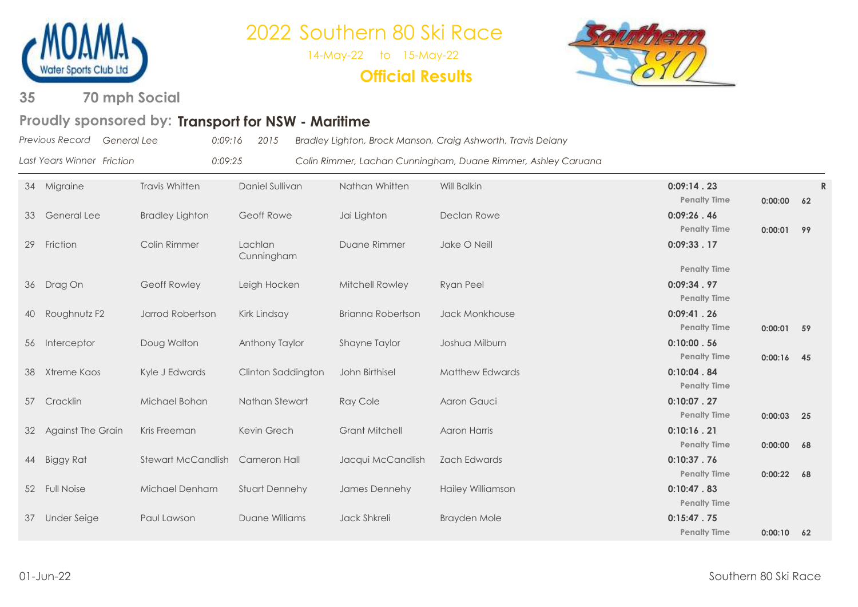

14-May-22 to 15-May-22

**Official Results**



**70 mph Social 35** 

### Proudly sponsored by: Transport for NSW - Maritime

*Last Years Winner*

*Previous Record*

*General Lee 0:09:16 2015 Bradley Lighton, Brock Manson, Craig Ashworth, Travis Delany*

*Friction 0:09:25 Colin Rimmer, Lachan Cunningham, Duane Rimmer, Ashley Caruana*

| 34 | Migraine                 | <b>Travis Whitten</b>     | Daniel Sullivan       | Nathan Whitten         | Will Balkin              | 0:09:14.23<br><b>Penalty Time</b>                        | 0:00:00 62   | $\mathbb{R}$ |
|----|--------------------------|---------------------------|-----------------------|------------------------|--------------------------|----------------------------------------------------------|--------------|--------------|
| 33 | <b>General Lee</b>       | <b>Bradley Lighton</b>    | Geoff Rowe            | Jai Lighton            | Declan Rowe              | 0:09:26.46                                               |              |              |
| 29 | Friction                 | Colin Rimmer              | Lachlan<br>Cunningham | Duane Rimmer           | Jake O Neill             | <b>Penalty Time</b><br>0:09:33.17                        | $0:00:01$ 99 |              |
|    | 36 Drag On               | Geoff Rowley              | Leigh Hocken          | <b>Mitchell Rowley</b> | <b>Ryan Peel</b>         | <b>Penalty Time</b><br>0:09:34.97<br><b>Penalty Time</b> |              |              |
| 40 | Roughnutz F2             | Jarrod Robertson          | Kirk Lindsay          | Brianna Robertson      | Jack Monkhouse           | 0:09:41.26<br><b>Penalty Time</b>                        | $0:00:01$ 59 |              |
|    | 56 Interceptor           | Doug Walton               | Anthony Taylor        | <b>Shayne Taylor</b>   | Joshua Milburn           | 0:10:00.56                                               |              |              |
| 38 | Xtreme Kaos              | Kyle J Edwards            | Clinton Saddington    | John Birthisel         | <b>Matthew Edwards</b>   | <b>Penalty Time</b><br>0:10:04.84                        | $0:00:16$ 45 |              |
| 57 | Cracklin                 | Michael Bohan             | Nathan Stewart        | <b>Ray Cole</b>        | Aaron Gauci              | <b>Penalty Time</b><br>0:10:07.27                        |              |              |
| 32 | <b>Against The Grain</b> | Kris Freeman              | Kevin Grech           | <b>Grant Mitchell</b>  | Aaron Harris             | <b>Penalty Time</b><br>0:10:16.21                        | $0:00:03$ 25 |              |
|    | 44 Biggy Rat             | <b>Stewart McCandlish</b> | Cameron Hall          | Jacqui McCandlish      | <b>Zach Edwards</b>      | <b>Penalty Time</b><br>0:10:37.76                        | 0:00:00 68   |              |
|    | 52 Full Noise            | Michael Denham            | <b>Stuart Dennehy</b> | James Dennehy          | <b>Hailey Williamson</b> | <b>Penalty Time</b><br>0:10:47.83                        | $0:00:22$ 68 |              |
| 37 | Under Seige              | Paul Lawson               | Duane Williams        | Jack Shkreli           | Brayden Mole             | <b>Penalty Time</b><br>0:15:47.75                        |              |              |
|    |                          |                           |                       |                        |                          | <b>Penalty Time</b>                                      | $0:00:10$ 62 |              |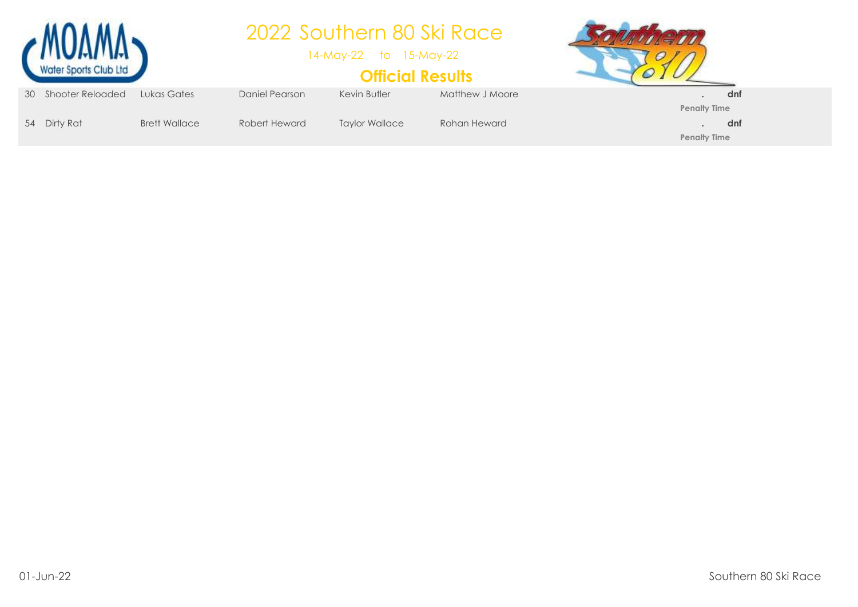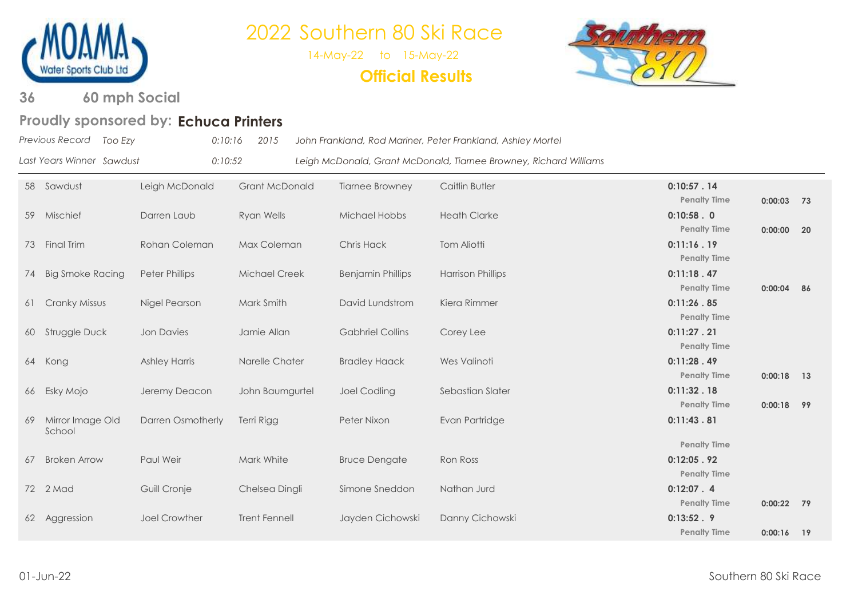

14-May-22 to 15-May-22

**Official Results**



**60 mph Social 36** 

### **Echuca Printers Proudly sponsored by:**

|    | Previous Record<br>Too Ezy | 0:10:16                  | 2015                  |                          | John Frankland, Rod Mariner, Peter Frankland, Ashley Mortel       |                                                          |              |    |
|----|----------------------------|--------------------------|-----------------------|--------------------------|-------------------------------------------------------------------|----------------------------------------------------------|--------------|----|
|    | Last Years Winner Sawdust  | 0:10:52                  |                       |                          | Leigh McDonald, Grant McDonald, Tiarnee Browney, Richard Williams |                                                          |              |    |
|    | 58 Sawdust                 | Leigh McDonald           | <b>Grant McDonald</b> | <b>Tiarnee Browney</b>   | Caitlin Butler                                                    | 0:10:57.14<br><b>Penalty Time</b>                        | $0:00:03$ 73 |    |
|    | 59 Mischief                | Darren Laub              | Ryan Wells            | Michael Hobbs            | <b>Heath Clarke</b>                                               | 0:10:58.0<br><b>Penalty Time</b>                         | 0:00:00      | 20 |
| 73 | <b>Final Trim</b>          | Rohan Coleman            | Max Coleman           | Chris Hack               | <b>Tom Aliotti</b>                                                | 0:11:16.19<br><b>Penalty Time</b>                        |              |    |
| 74 | Big Smoke Racing           | <b>Peter Phillips</b>    | <b>Michael Creek</b>  | <b>Benjamin Phillips</b> | <b>Harrison Phillips</b>                                          | 0:11:18.47<br><b>Penalty Time</b>                        | $0:00:04$ 86 |    |
| 61 | <b>Cranky Missus</b>       | Nigel Pearson            | Mark Smith            | David Lundstrom          | Kiera Rimmer                                                      | 0:11:26.85<br><b>Penalty Time</b>                        |              |    |
|    | 60 Struggle Duck           | <b>Jon Davies</b>        | Jamie Allan           | <b>Gabhriel Collins</b>  | Corey Lee                                                         | 0:11:27.21<br><b>Penalty Time</b>                        |              |    |
|    | 64 Kong                    | <b>Ashley Harris</b>     | Narelle Chater        | <b>Bradley Haack</b>     | Wes Valinoti                                                      | 0:11:28.49<br><b>Penalty Time</b>                        | $0:00:18$ 13 |    |
|    | 66 Esky Mojo               | Jeremy Deacon            | John Baumgurtel       | <b>Joel Codling</b>      | Sebastian Slater                                                  | 0:11:32.18<br><b>Penalty Time</b>                        | 0:00:18      | 99 |
| 69 | Mirror Image Old<br>School | <b>Darren Osmotherly</b> | Terri Rigg            | Peter Nixon              | Evan Partridge                                                    | 0:11:43.81                                               |              |    |
| 67 | <b>Broken Arrow</b>        | Paul Weir                | Mark White            | <b>Bruce Dengate</b>     | Ron Ross                                                          | <b>Penalty Time</b><br>0:12:05.92<br><b>Penalty Time</b> |              |    |
|    | 72 2 Mad                   | Guill Cronje             | Chelsea Dingli        | Simone Sneddon           | Nathan Jurd                                                       | 0:12:07.4<br><b>Penalty Time</b>                         | $0:00:22$ 79 |    |
|    | 62 Aggression              | <b>Joel Crowther</b>     | <b>Trent Fennell</b>  | Jayden Cichowski         | Danny Cichowski                                                   | 0:13:52.9<br><b>Penalty Time</b>                         | $0:00:16$ 19 |    |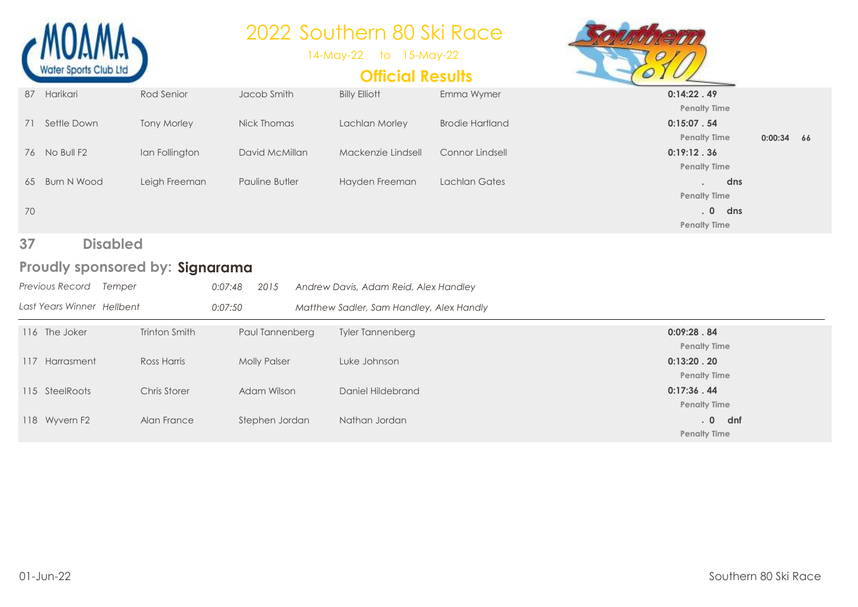|          |                                 |                    |                       | 2022 Southern 80 Ski Race<br>14-May-22<br>to 15-May-22 |                        |                                                                |              |  |
|----------|---------------------------------|--------------------|-----------------------|--------------------------------------------------------|------------------------|----------------------------------------------------------------|--------------|--|
|          | Water Sports Club Ltd           |                    |                       | <b>Official Results</b>                                |                        |                                                                |              |  |
|          | 87 Harikari                     | Rod Senior         | Jacob Smith           | <b>Billy Elliott</b>                                   | Emma Wymer             | 0:14:22.49<br><b>Penalty Time</b>                              |              |  |
| 71       | Settle Down                     | <b>Tony Morley</b> | Nick Thomas           | Lachlan Morley                                         | <b>Brodie Hartland</b> | 0:15:07.54<br><b>Penalty Time</b>                              | $0:00:34$ 66 |  |
|          | 76 No Bull F2                   | Ian Follington     | David McMillan        | Mackenzie Lindsell                                     | <b>Connor Lindsell</b> | 0:19:12.36<br><b>Penalty Time</b>                              |              |  |
| 65<br>70 | Burn N Wood                     | Leigh Freeman      | <b>Pauline Butler</b> | Hayden Freeman                                         | <b>Lachlan Gates</b>   | dns<br><b>Penalty Time</b><br>.0<br>dns<br><b>Penalty Time</b> |              |  |
| 37       | <b>Disabled</b>                 |                    |                       |                                                        |                        |                                                                |              |  |
|          | Proudly sponsored by: Signarama |                    |                       |                                                        |                        |                                                                |              |  |
|          | Previous Record Temper          | 0:07:48            | 2015                  | Andrew Davis, Adam Reid, Alex Handley                  |                        |                                                                |              |  |
|          | Last Years Winner Hellbent      | 0:07:50            |                       | Matthew Sadler, Sam Handley, Alex Handly               |                        |                                                                |              |  |
|          | 116 The Joker                   | Trinton Smith      | Paul Tannenberg       | Tyler Tannenberg                                       |                        | 0:09:28.84<br><b>Penalty Time</b>                              |              |  |
|          | 117 Harrasment                  | <b>Ross Harris</b> | <b>Molly Palser</b>   | Luke Johnson                                           |                        | 0:13:20.20<br><b>Penalty Time</b>                              |              |  |
|          | 115 SteelRoots                  | Chris Storer       | Adam Wilson           | Daniel Hildebrand                                      |                        | 0:17:36.44<br><b>Penalty Time</b>                              |              |  |

118 Wyvern F2 Alan France Stephen Jordan Nathan Jordan **. 0 dnf Penalty Time**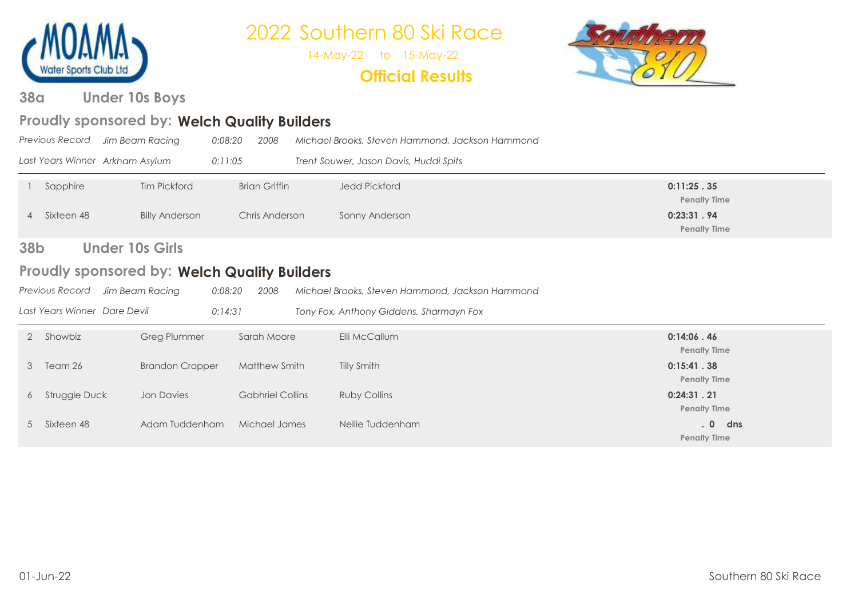

14-May-22 to 15-May-22

### **Official Results**



**Under 10s Boys 38a**

### Proudly sponsored by: Welch Quality Builders

|            | Previous Record                                                                                          | Jim Beam Racing                 | 0:08:20<br>2008         | Michael Brooks, Steven Hammond, Jackson Hammond |                                   |  |  |
|------------|----------------------------------------------------------------------------------------------------------|---------------------------------|-------------------------|-------------------------------------------------|-----------------------------------|--|--|
|            |                                                                                                          | Last Years Winner Arkham Asylum | 0:11:05                 | Trent Souwer, Jason Davis, Huddi Spits          |                                   |  |  |
|            | Sapphire                                                                                                 | <b>Tim Pickford</b>             | <b>Brian Griffin</b>    | <b>Jedd Pickford</b>                            | 0:11:25.35<br><b>Penalty Time</b> |  |  |
| 4          | Sixteen 48                                                                                               | <b>Billy Anderson</b>           | Chris Anderson          | Sonny Anderson                                  | 0:23:31.94<br><b>Penalty Time</b> |  |  |
| <b>38b</b> | <b>Under 10s Girls</b>                                                                                   |                                 |                         |                                                 |                                   |  |  |
|            | <b>Proudly sponsored by: Welch Quality Builders</b>                                                      |                                 |                         |                                                 |                                   |  |  |
|            | Previous Record<br>Jim Beam Racing<br>0:08:20<br>2008<br>Michael Brooks, Steven Hammond, Jackson Hammond |                                 |                         |                                                 |                                   |  |  |
|            | Last Years Winner Dare Devil                                                                             |                                 | 0:14:31                 | Tony Fox, Anthony Giddens, Sharmayn Fox         |                                   |  |  |
| 2          | Showbiz                                                                                                  | Greg Plummer                    | Sarah Moore             | Elli McCallum                                   | 0:14:06.46<br><b>Penalty Time</b> |  |  |
| 3          | Team 26                                                                                                  | <b>Brandon Cropper</b>          | Matthew Smith           | Tilly Smith                                     | 0:15:41.38<br><b>Penalty Time</b> |  |  |
| 6          | Struggle Duck                                                                                            | <b>Jon Davies</b>               | <b>Gabhriel Collins</b> | <b>Ruby Collins</b>                             | 0:24:31.21<br><b>Penalty Time</b> |  |  |
| 5          | Sixteen 48                                                                                               | Adam Tuddenham                  | Michael James           | Nellie Tuddenham                                | .0<br>dns<br><b>Penalty Time</b>  |  |  |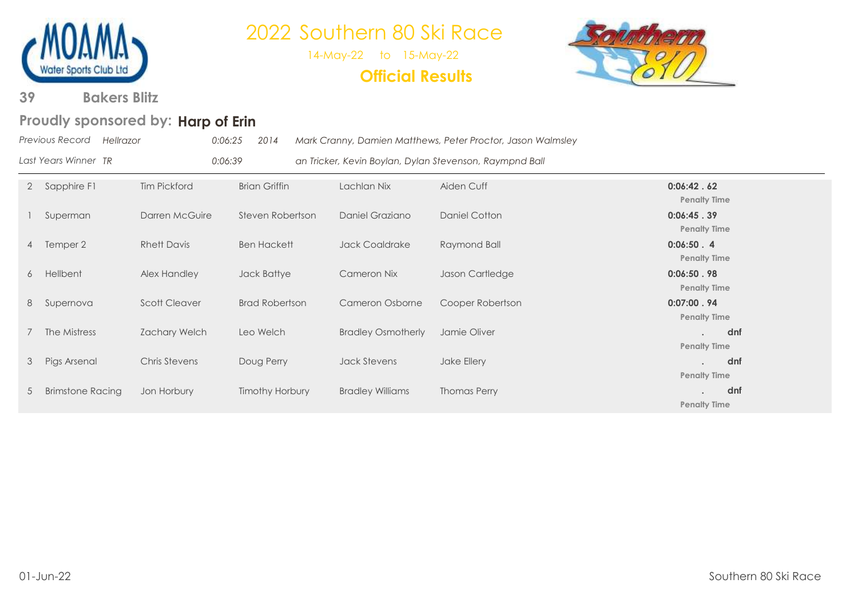

14-May-22 to 15-May-22

**Official Results**



**Bakers Blitz 39**

### Proudly sponsored by: Harp of Erin

|              | Previous Record<br>Hellrazor | 0:06:25              | 2014                  |                                                         | Mark Cranny, Damien Matthews, Peter Proctor, Jason Walmsley |                                      |
|--------------|------------------------------|----------------------|-----------------------|---------------------------------------------------------|-------------------------------------------------------------|--------------------------------------|
|              | Last Years Winner TR         | 0:06:39              |                       | an Tricker, Kevin Boylan, Dylan Stevenson, Raympnd Ball |                                                             |                                      |
| $\mathbf{2}$ | Sapphire F1                  | <b>Tim Pickford</b>  | <b>Brian Griffin</b>  | Lachlan Nix                                             | Aiden Cuff                                                  | 0:06:42.62<br><b>Penalty Time</b>    |
|              | Superman                     | Darren McGuire       | Steven Robertson      | Daniel Graziano                                         | Daniel Cotton                                               | 0:06:45.39<br><b>Penalty Time</b>    |
|              | 4 Temper 2                   | <b>Rhett Davis</b>   | <b>Ben Hackett</b>    | <b>Jack Coaldrake</b>                                   | Raymond Ball                                                | $0:06:50$ . 4<br><b>Penalty Time</b> |
| 6            | Hellbent                     | Alex Handley         | Jack Battye           | Cameron Nix                                             | Jason Cartledge                                             | 0:06:50.98<br><b>Penalty Time</b>    |
| 8            | Supernova                    | <b>Scott Cleaver</b> | <b>Brad Robertson</b> | Cameron Osborne                                         | Cooper Robertson                                            | 0:07:00.94<br><b>Penalty Time</b>    |
|              | The Mistress                 | Zachary Welch        | Leo Welch             | <b>Bradley Osmotherly</b>                               | Jamie Oliver                                                | dnf<br><b>Penalty Time</b>           |
| 3            | Pigs Arsenal                 | Chris Stevens        | Doug Perry            | Jack Stevens                                            | Jake Ellery                                                 | dnf<br><b>Penalty Time</b>           |
| 5            | <b>Brimstone Racing</b>      | Jon Horbury          | Timothy Horbury       | <b>Bradley Williams</b>                                 | <b>Thomas Perry</b>                                         | dnf<br><b>Penalty Time</b>           |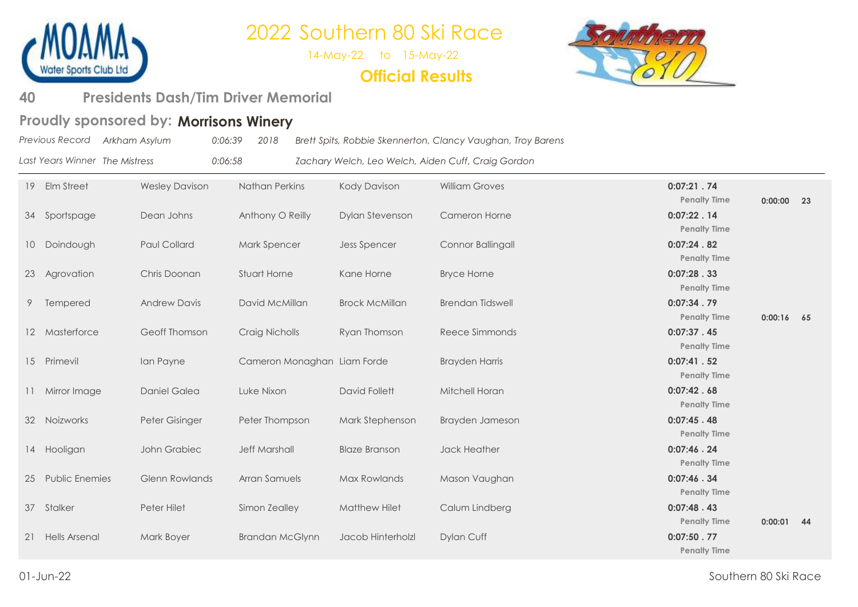

14-May-22 to 15-May-22

### **Official Results**



#### **Presidents Dash/Tim Driver Memorial 40**

### Proudly sponsored by: Morrisons Winery

| Previous Record Arkham Asylum  | 0:06:39 | 2018 | Brett Spits, Robbie Skennerton, Clancy Vaughan, Troy Barens |
|--------------------------------|---------|------|-------------------------------------------------------------|
| Last Years Winner The Mistress | 0:06:58 |      | Zachary Welch, Leo Welch, Aiden Cuff, Craig Gordon          |

| 19 | Elm Street            | <b>Wesley Davison</b> | <b>Nathan Perkins</b>       | Kody Davison          | <b>William Groves</b>   | 0:07:21.74                        |              |    |
|----|-----------------------|-----------------------|-----------------------------|-----------------------|-------------------------|-----------------------------------|--------------|----|
|    |                       |                       |                             |                       |                         | <b>Penalty Time</b>               | $0:00:00$ 23 |    |
|    | 34 Sportspage         | Dean Johns            | Anthony O Reilly            | Dylan Stevenson       | <b>Cameron Horne</b>    | 0:07:22.14                        |              |    |
|    |                       |                       |                             |                       |                         | <b>Penalty Time</b>               |              |    |
|    | 10 Doindough          | Paul Collard          | <b>Mark Spencer</b>         | <b>Jess Spencer</b>   | Connor Ballingall       | 0:07:24.82                        |              |    |
|    |                       |                       |                             |                       |                         | <b>Penalty Time</b>               |              |    |
| 23 | Agrovation            | Chris Doonan          | <b>Stuart Horne</b>         | Kane Horne            | <b>Bryce Horne</b>      | 0:07:28.33                        |              |    |
|    |                       |                       |                             |                       |                         | <b>Penalty Time</b>               |              |    |
| 9  | Tempered              | <b>Andrew Davis</b>   | David McMillan              | <b>Brock McMillan</b> | <b>Brendan Tidswell</b> | 0:07:34.79                        |              |    |
|    |                       |                       |                             |                       |                         | <b>Penalty Time</b>               | $0:00:16$ 65 |    |
|    | 12 Masterforce        | Geoff Thomson         | <b>Craig Nicholls</b>       | Ryan Thomson          | Reece Simmonds          | 0:07:37.45                        |              |    |
|    |                       |                       |                             |                       |                         | <b>Penalty Time</b>               |              |    |
|    | 15 Primevil           | Ian Payne             | Cameron Monaghan Liam Forde |                       | <b>Brayden Harris</b>   | 0:07:41.52                        |              |    |
|    |                       |                       |                             |                       |                         | <b>Penalty Time</b>               |              |    |
|    | 11 Mirror Image       | Daniel Galea          | Luke Nixon                  | David Follett         | Mitchell Horan          | 0:07:42.68                        |              |    |
|    |                       |                       |                             |                       |                         | <b>Penalty Time</b>               |              |    |
|    | 32 Noizworks          | Peter Gisinger        | Peter Thompson              | Mark Stephenson       | Brayden Jameson         | 0:07:45.48                        |              |    |
|    |                       |                       |                             |                       |                         | <b>Penalty Time</b>               |              |    |
|    | 14 Hooligan           | John Grabiec          | <b>Jeff Marshall</b>        | <b>Blaze Branson</b>  | Jack Heather            | 0:07:46.24<br><b>Penalty Time</b> |              |    |
|    |                       |                       |                             |                       |                         |                                   |              |    |
| 25 | <b>Public Enemies</b> | <b>Glenn Rowlands</b> | Arran Samuels               | Max Rowlands          | Mason Vaughan           | 0:07:46.34<br><b>Penalty Time</b> |              |    |
|    |                       |                       |                             |                       |                         | 0:07:48.43                        |              |    |
|    | 37 Stalker            | Peter Hilet           | Simon Zealley               | <b>Matthew Hilet</b>  | Calum Lindberg          | <b>Penalty Time</b>               | 0:00:01      | 44 |
|    | 21 Hells Arsenal      | Mark Boyer            | <b>Brandan McGlynn</b>      | Jacob Hinterholzl     | Dylan Cuff              | 0:07:50.77                        |              |    |
|    |                       |                       |                             |                       |                         | <b>Penalty Time</b>               |              |    |
|    |                       |                       |                             |                       |                         |                                   |              |    |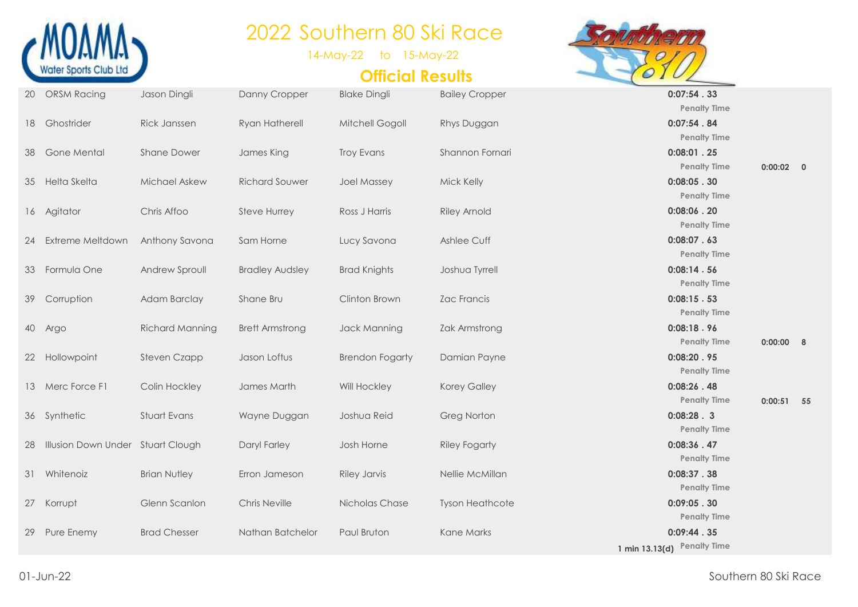

14-May-22 to 15-May-22

### **Official Results**



**Penalty Time Penalty Time 0:00:02 0 Penalty Time Penalty Time Penalty Time Penalty Time Penalty Time Penalty Time 0:00:00 8 Penalty Time Penalty Time 0:00:51 55 Penalty Time Penalty Time Penalty Time Penalty Time Penalty Time 1 min 13.13(d) Penalty Time**

|    | 20 ORSM Racing                    | Jason Dingli           | Danny Cropper          | <b>Blake Dingli</b>    | <b>Bailey Cropper</b>  | 0:07:54.33        |
|----|-----------------------------------|------------------------|------------------------|------------------------|------------------------|-------------------|
|    |                                   |                        |                        |                        |                        | <b>Penalty Ti</b> |
|    | 18 Ghostrider                     | Rick Janssen           | Ryan Hatherell         | Mitchell Gogoll        | Rhys Duggan            | 0:07:54.84        |
|    |                                   |                        |                        |                        |                        | <b>Penalty Ti</b> |
|    | 38 Gone Mental                    | <b>Shane Dower</b>     | James King             | <b>Troy Evans</b>      | Shannon Fornari        | $0:08:01$ . 25    |
|    |                                   |                        |                        |                        |                        | Penalty Ti        |
|    | 35 Helta Skelta                   | Michael Askew          | <b>Richard Souwer</b>  | <b>Joel Massey</b>     | Mick Kelly             | 0:08:05.30        |
|    |                                   |                        |                        |                        |                        | <b>Penalty Ti</b> |
|    | 16 Agitator                       | Chris Affoo            | <b>Steve Hurrey</b>    | Ross J Harris          | <b>Riley Arnold</b>    | $0:08:06$ .20     |
|    |                                   |                        |                        |                        |                        | <b>Penalty Ti</b> |
|    | 24 Extreme Meltdown               | Anthony Savona         | Sam Horne              | Lucy Savona            | Ashlee Cuff            | 0:08:07.63        |
|    |                                   |                        |                        |                        |                        | <b>Penalty Ti</b> |
|    | 33 Formula One                    | Andrew Sproull         | <b>Bradley Audsley</b> | <b>Brad Knights</b>    | Joshua Tyrrell         | 0:08:14.56        |
|    |                                   |                        |                        |                        |                        | <b>Penalty Ti</b> |
|    | 39 Corruption                     | Adam Barclay           | Shane Bru              | Clinton Brown          | Zac Francis            | 0:08:15.53        |
|    |                                   |                        |                        |                        |                        | <b>Penalty Ti</b> |
|    | 40 Argo                           | <b>Richard Manning</b> | <b>Brett Armstrong</b> | Jack Manning           | Zak Armstrong          | 0:08:18.96        |
|    |                                   |                        |                        |                        |                        | <b>Penalty Ti</b> |
|    | 22 Hollowpoint                    | <b>Steven Czapp</b>    | Jason Loftus           | <b>Brendon Fogarty</b> | Damian Payne           | 0:08:20.95        |
|    |                                   |                        |                        |                        |                        | <b>Penalty Ti</b> |
|    | 13 Merc Force F1                  | Colin Hockley          | James Marth            | Will Hockley           | Korey Galley           | 0:08:26.48        |
|    |                                   |                        |                        |                        |                        | <b>Penalty Ti</b> |
|    | 36 Synthetic                      | Stuart Evans           | Wayne Duggan           | Joshua Reid            | <b>Greg Norton</b>     | 0:08:28.3         |
|    |                                   |                        |                        |                        |                        | <b>Penalty Ti</b> |
| 28 | Illusion Down Under Stuart Clough |                        | Daryl Farley           | Josh Horne             | <b>Riley Fogarty</b>   | 0:08:36.47        |
|    |                                   |                        |                        |                        |                        | <b>Penalty Ti</b> |
|    | 31 Whitenoiz                      | <b>Brian Nutley</b>    | Erron Jameson          | <b>Riley Jarvis</b>    | Nellie McMillan        | 0:08:37.38        |
|    |                                   |                        |                        |                        |                        | <b>Penalty Ti</b> |
|    | 27 Korrupt                        | Glenn Scanlon          | <b>Chris Neville</b>   | Nicholas Chase         | <b>Tyson Heathcote</b> | 0:09:05.30        |
|    |                                   |                        |                        |                        |                        | <b>Penalty Ti</b> |
|    | 29 Pure Enemy                     | <b>Brad Chesser</b>    | Nathan Batchelor       | Paul Bruton            | Kane Marks             | 0:09:44.35        |
|    |                                   |                        |                        |                        |                        |                   |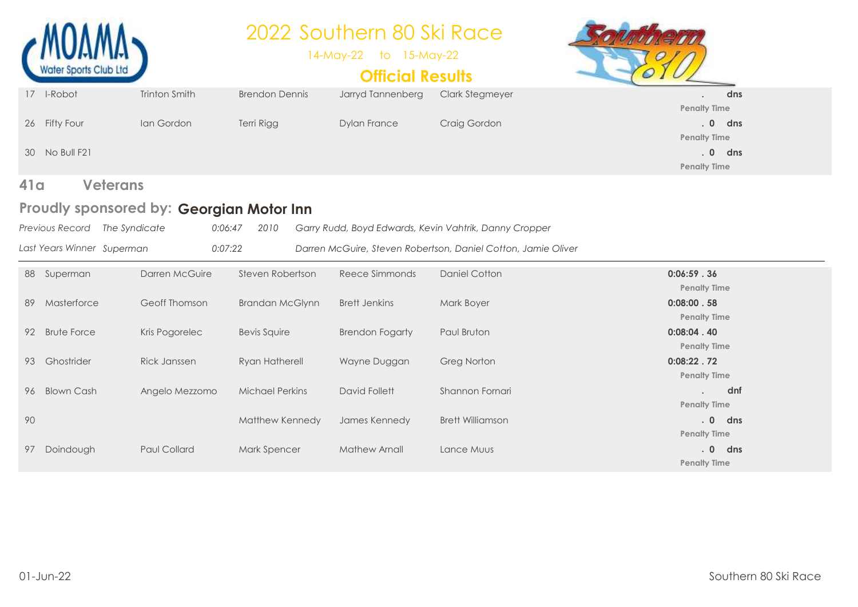

### Proudly sponsored by: Georgian Motor Inn

| Previous Record The Syndicate | 0:06:47 | 2010     Garry Rudd, Boyd Edwards, Kevin Vahtrik, Danny Cropper |
|-------------------------------|---------|-----------------------------------------------------------------|
| Last Years Winner Superman    | 0:07:22 | Darren McGuire, Steven Robertson, Daniel Cotton, Jamie Oliver   |

|    | 88 Superman        | Darren McGuire      | Steven Robertson       | Reece Simmonds         | Daniel Cotton           | 0:06:59.36<br><b>Penalty Time</b>             |
|----|--------------------|---------------------|------------------------|------------------------|-------------------------|-----------------------------------------------|
| 89 | Masterforce        | Geoff Thomson       | Brandan McGlynn        | Brett Jenkins          | Mark Boyer              | 0:08:00.58<br><b>Penalty Time</b>             |
| 92 | <b>Brute Force</b> | Kris Pogorelec      | <b>Bevis Squire</b>    | <b>Brendon Fogarty</b> | Paul Bruton             | 0:08:04.40<br><b>Penalty Time</b>             |
| 93 | Ghostrider         | Rick Janssen        | Ryan Hatherell         | Wayne Duggan           | <b>Greg Norton</b>      | 0:08:22.72<br><b>Penalty Time</b>             |
| 96 | <b>Blown Cash</b>  | Angelo Mezzomo      | <b>Michael Perkins</b> | David Follett          | Shannon Fornari         | dnf<br><b>Penalty Time</b>                    |
| 90 |                    |                     | Matthew Kennedy        | James Kennedy          | <b>Brett Williamson</b> | .0 <sub>1</sub><br>dns<br><b>Penalty Time</b> |
| 97 | Doindough          | <b>Paul Collard</b> | Mark Spencer           | Mathew Arnall          | Lance Muus              | .0<br>dns<br><b>Penalty Time</b>              |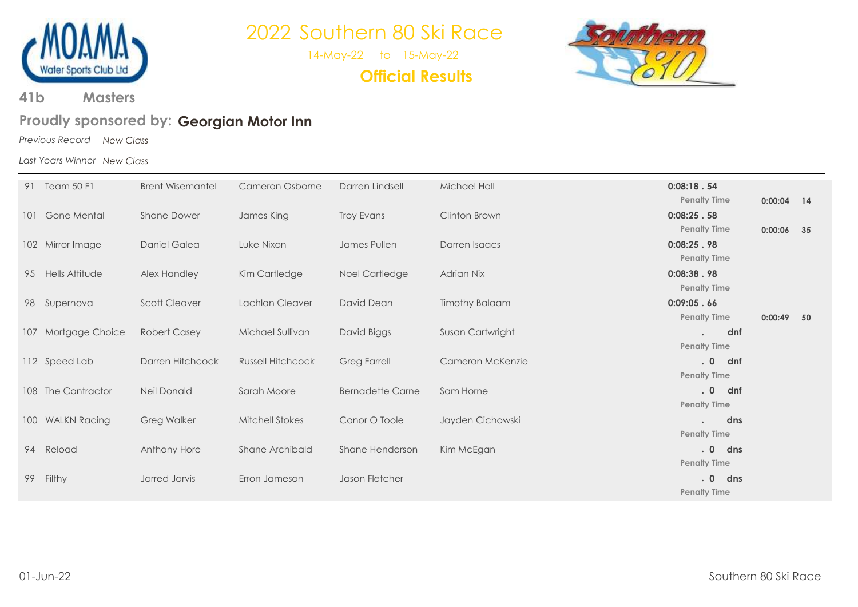

14-May-22 to 15-May-22

**Official Results**



**Masters 41b**

### Proudly sponsored by: Georgian Motor Inn

*Previous Record New Class*

*Last Years Winner New Class*

|    | 91 Team 50 F1       | <b>Brent Wisemantel</b> | Cameron Osborne          | Darren Lindsell         | Michael Hall          | 0:08:18.54           |     |              |  |
|----|---------------------|-------------------------|--------------------------|-------------------------|-----------------------|----------------------|-----|--------------|--|
|    |                     |                         |                          |                         |                       | <b>Penalty Time</b>  |     | $0:00:04$ 14 |  |
|    | 101 Gone Mental     | <b>Shane Dower</b>      | James King               | Troy Evans              | Clinton Brown         | 0:08:25.58           |     |              |  |
|    |                     |                         |                          |                         |                       | <b>Penalty Time</b>  |     | $0:00:06$ 35 |  |
|    | 102 Mirror Image    | Daniel Galea            | Luke Nixon               | James Pullen            | Darren Isaacs         | 0:08:25.98           |     |              |  |
|    |                     |                         |                          |                         |                       | <b>Penalty Time</b>  |     |              |  |
|    | 95 Hells Attitude   | Alex Handley            | Kim Cartledge            | Noel Cartledge          | <b>Adrian Nix</b>     | 0:08:38.98           |     |              |  |
|    |                     |                         |                          |                         |                       | <b>Penalty Time</b>  |     |              |  |
|    | 98 Supernova        | <b>Scott Cleaver</b>    | Lachlan Cleaver          | David Dean              | <b>Timothy Balaam</b> | 0:09:05.66           |     |              |  |
|    |                     |                         |                          |                         |                       | <b>Penalty Time</b>  |     | $0:00:49$ 50 |  |
|    | 107 Mortgage Choice | <b>Robert Casey</b>     | Michael Sullivan         | David Biggs             | Susan Cartwright      |                      | dnf |              |  |
|    |                     |                         |                          |                         |                       | <b>Penalty Time</b>  |     |              |  |
|    | 112 Speed Lab       | Darren Hitchcock        | <b>Russell Hitchcock</b> | <b>Greg Farrell</b>     | Cameron McKenzie      | $. 0$ dnf            |     |              |  |
|    |                     |                         |                          |                         |                       | <b>Penalty Time</b>  |     |              |  |
|    | 108 The Contractor  | Neil Donald             | Sarah Moore              | <b>Bernadette Carne</b> | Sam Horne             | $. 0$ dnf            |     |              |  |
|    |                     |                         |                          |                         |                       | <b>Penalty Time</b>  |     |              |  |
|    | 100 WALKN Racing    | <b>Greg Walker</b>      | <b>Mitchell Stokes</b>   | Conor O Toole           | Jayden Cichowski      | $\ddot{\phantom{0}}$ | dns |              |  |
|    |                     |                         |                          |                         |                       | <b>Penalty Time</b>  |     |              |  |
|    | 94 Reload           | Anthony Hore            | Shane Archibald          | Shane Henderson         | Kim McEgan            | $. 0$ dns            |     |              |  |
|    |                     |                         |                          |                         |                       | <b>Penalty Time</b>  |     |              |  |
| 99 | Filthy              | Jarred Jarvis           | Erron Jameson            | Jason Fletcher          |                       | $. 0$ dns            |     |              |  |
|    |                     |                         |                          |                         |                       | <b>Penalty Time</b>  |     |              |  |